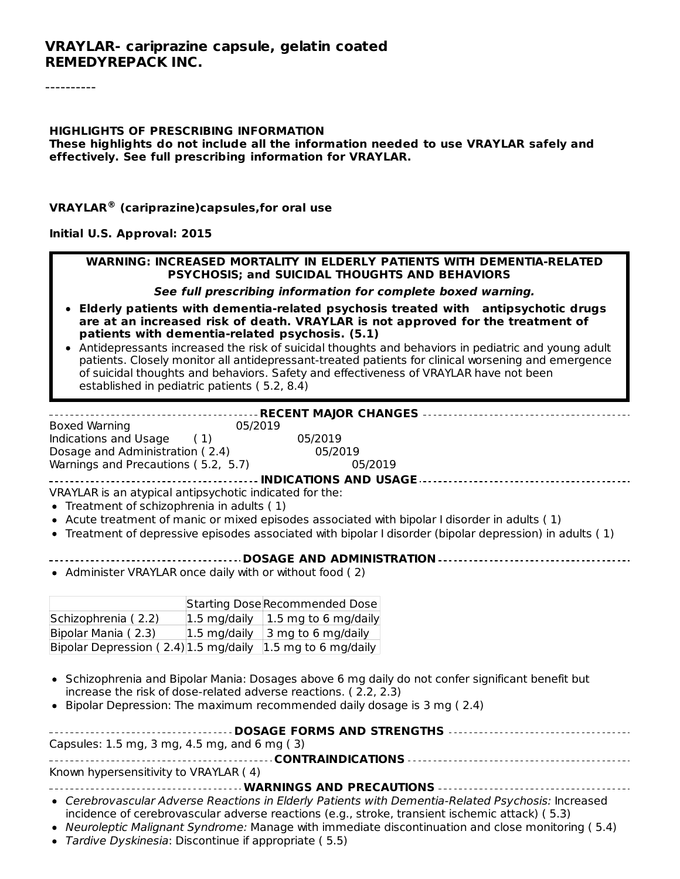#### **HIGHLIGHTS OF PRESCRIBING INFORMATION These highlights do not include all the information needed to use VRAYLAR safely and effectively. See full prescribing information for VRAYLAR.**

**VRAYLAR (cariprazine)capsules,for oral use ®**

#### **Initial U.S. Approval: 2015**

#### **WARNING: INCREASED MORTALITY IN ELDERLY PATIENTS WITH DEMENTIA-RELATED PSYCHOSIS; and SUICIDAL THOUGHTS AND BEHAVIORS**

#### **See full prescribing information for complete boxed warning.**

- **Elderly patients with dementia-related psychosis treated with antipsychotic drugs are at an increased risk of death. VRAYLAR is not approved for the treatment of patients with dementia-related psychosis. (5.1)**
- Antidepressants increased the risk of suicidal thoughts and behaviors in pediatric and young adult patients. Closely monitor all antidepressant-treated patients for clinical worsening and emergence of suicidal thoughts and behaviors. Safety and effectiveness of VRAYLAR have not been established in pediatric patients ( 5.2, 8.4)

| <b>Boxed Warning</b>                                    | 05/2019 |                                                                                                          |
|---------------------------------------------------------|---------|----------------------------------------------------------------------------------------------------------|
| Indications and Usage (1)                               | 05/2019 |                                                                                                          |
| Dosage and Administration (2.4)                         | 05/2019 |                                                                                                          |
| Warnings and Precautions (5.2, 5.7)                     |         | 05/2019                                                                                                  |
|                                                         |         | <b>INDICATIONS AND USAGE </b>                                                                            |
| VRAYLAR is an atypical antipsychotic indicated for the: |         |                                                                                                          |
| • Treatment of schizophrenia in adults (1)              |         |                                                                                                          |
|                                                         |         | • Acute treatment of manic or mixed episodes associated with bipolar I disorder in adults (1)            |
|                                                         |         | • Treatment of depressive episodes associated with bipolar I disorder (bipolar depression) in adults (1) |
|                                                         |         | <b>DOSAGE AND ADMINISTRATION </b>                                                                        |

• Administer VRAYLAR once daily with or without food (2)

|                                       |                | Starting Dose Recommended Dose                          |
|---------------------------------------|----------------|---------------------------------------------------------|
| Schizophrenia (2.2)                   |                | $ 1.5 \text{ mg/daily}   1.5 \text{ mg to 6 mg/daily} $ |
| Bipolar Mania (2.3)                   | $1.5$ mg/daily | 3 mg to 6 mg/daily                                      |
| Bipolar Depression (2.4) 1.5 mg/daily |                | $ 1.5 \text{ mg}$ to 6 mg/daily                         |

- Schizophrenia and Bipolar Mania: Dosages above 6 mg daily do not confer significant benefit but increase the risk of dose-related adverse reactions. ( 2.2, 2.3)
- $\bullet$  Bipolar Depression: The maximum recommended daily dosage is 3 mg ( $2.4$ )

| Capsules: 1.5 mg, 3 mg, 4.5 mg, and 6 mg (3) |
|----------------------------------------------|
|                                              |
| Known hypersensitivity to VRAYLAR (4)        |
| WARNIBLES AND DRESSIFIANS                    |

**WARNINGS AND PRECAUTIONS**

- Cerebrovascular Adverse Reactions in Elderly Patients with Dementia-Related Psychosis: Increased incidence of cerebrovascular adverse reactions (e.g., stroke, transient ischemic attack) ( 5.3)
- Neuroleptic Malignant Syndrome: Manage with immediate discontinuation and close monitoring (5.4)
- Tardive Dyskinesia: Discontinue if appropriate ( 5.5)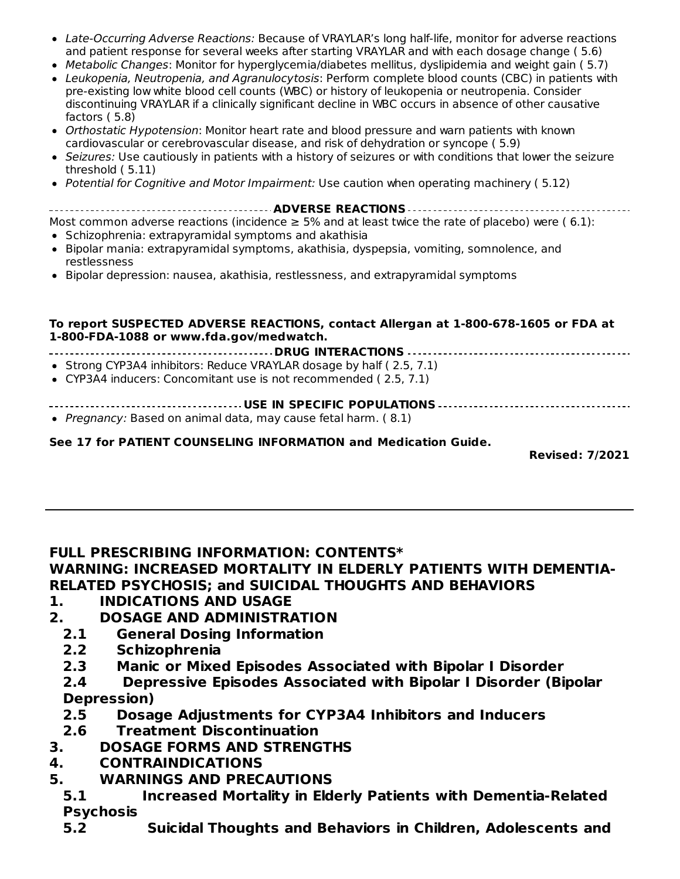- Late-Occurring Adverse Reactions: Because of VRAYLAR's long half-life, monitor for adverse reactions and patient response for several weeks after starting VRAYLAR and with each dosage change ( 5.6)
- Metabolic Changes: Monitor for hyperglycemia/diabetes mellitus, dyslipidemia and weight gain ( 5.7) Leukopenia, Neutropenia, and Agranulocytosis: Perform complete blood counts (CBC) in patients with
- pre-existing low white blood cell counts (WBC) or history of leukopenia or neutropenia. Consider discontinuing VRAYLAR if a clinically significant decline in WBC occurs in absence of other causative factors ( 5.8)
- Orthostatic Hypotension: Monitor heart rate and blood pressure and warn patients with known cardiovascular or cerebrovascular disease, and risk of dehydration or syncope ( 5.9)
- Seizures: Use cautiously in patients with a history of seizures or with conditions that lower the seizure threshold ( 5.11)
- Potential for Cognitive and Motor Impairment: Use caution when operating machinery (5.12)
- **ADVERSE REACTIONS**

#### Most common adverse reactions (incidence  $\geq$  5% and at least twice the rate of placebo) were (6.1): • Schizophrenia: extrapyramidal symptoms and akathisia

- 
- Bipolar mania: extrapyramidal symptoms, akathisia, dyspepsia, vomiting, somnolence, and restlessness
- **Bipolar depression: nausea, akathisia, restlessness, and extrapyramidal symptoms**

#### **To report SUSPECTED ADVERSE REACTIONS, contact Allergan at 1-800-678-1605 or FDA at 1-800-FDA-1088 or www.fda.gov/medwatch.**

**DRUG INTERACTIONS**

- Strong CYP3A4 inhibitors: Reduce VRAYLAR dosage by half (2.5, 7.1)
- CYP3A4 inducers: Concomitant use is not recommended ( 2.5, 7.1)

#### **USE IN SPECIFIC POPULATIONS**

• Pregnancy: Based on animal data, may cause fetal harm. (8.1)

### **See 17 for PATIENT COUNSELING INFORMATION and Medication Guide.**

**Revised: 7/2021**

## **FULL PRESCRIBING INFORMATION: CONTENTS\***

# **WARNING: INCREASED MORTALITY IN ELDERLY PATIENTS WITH DEMENTIA-RELATED PSYCHOSIS; and SUICIDAL THOUGHTS AND BEHAVIORS**

- **1. INDICATIONS AND USAGE**
- **2. DOSAGE AND ADMINISTRATION**
	- **2.1 General Dosing Information**
	- **2.2 Schizophrenia**
	- **2.3 Manic or Mixed Episodes Associated with Bipolar I Disorder**
	- **2.4 Depressive Episodes Associated with Bipolar I Disorder (Bipolar Depression)**
	- **2.5 Dosage Adjustments for CYP3A4 Inhibitors and Inducers**
	- **2.6 Treatment Discontinuation**
- **3. DOSAGE FORMS AND STRENGTHS**
- **4. CONTRAINDICATIONS**
- **5. WARNINGS AND PRECAUTIONS**
- **5.1 Increased Mortality in Elderly Patients with Dementia-Related Psychosis**
- **5.2 Suicidal Thoughts and Behaviors in Children, Adolescents and**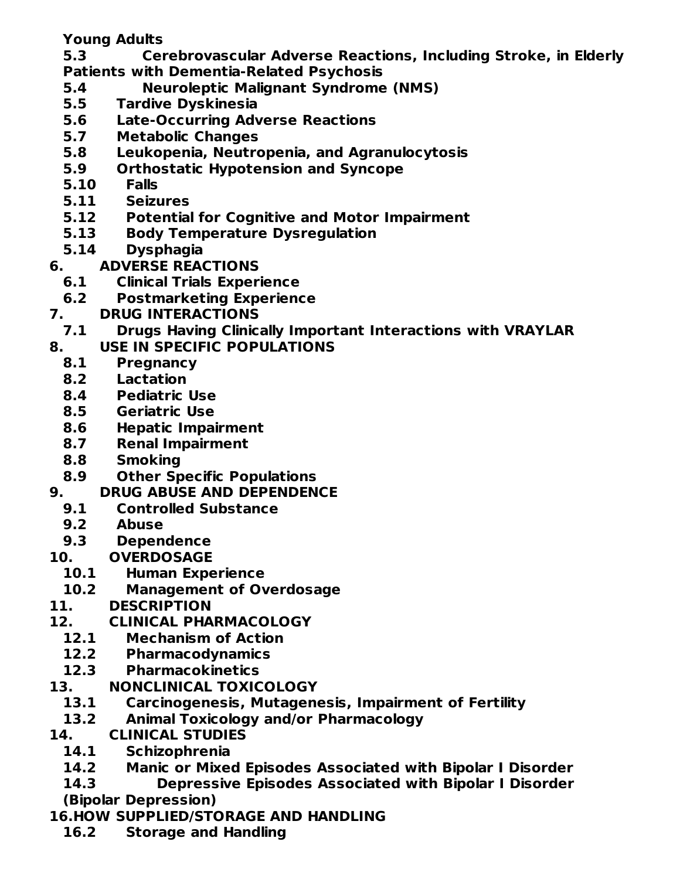**Young Adults**

**5.3 Cerebrovascular Adverse Reactions, Including Stroke, in Elderly Patients with Dementia-Related Psychosis**

- **5.4 Neuroleptic Malignant Syndrome (NMS)**
- **5.5 Tardive Dyskinesia**
- **5.6 Late-Occurring Adverse Reactions**
- **5.7 Metabolic Changes**
- **5.8 Leukopenia, Neutropenia, and Agranulocytosis**
- **5.9 Orthostatic Hypotension and Syncope**
- **5.10 Falls**
- **5.11 Seizures**
- **5.12 Potential for Cognitive and Motor Impairment**
- **5.13 Body Temperature Dysregulation**
- **5.14 Dysphagia**
- **6. ADVERSE REACTIONS**
	- **6.1 Clinical Trials Experience**
	- **6.2 Postmarketing Experience**
- **7. DRUG INTERACTIONS**
- **7.1 Drugs Having Clinically Important Interactions with VRAYLAR**
- **8. USE IN SPECIFIC POPULATIONS**
- **8.1 Pregnancy**
	- **8.2 Lactation**
	- **8.4 Pediatric Use**
	- **8.5 Geriatric Use**
	- **8.6 Hepatic Impairment**
- **8.7 Renal Impairment**
- **8.8 Smoking**
- **8.9 Other Specific Populations**
- **9. DRUG ABUSE AND DEPENDENCE**
	- **9.1 Controlled Substance**
	- **9.2 Abuse**
- **9.3 Dependence**
- **10. OVERDOSAGE**
	- **10.1 Human Experience**
	- **10.2 Management of Overdosage**
- **11. DESCRIPTION**
- **12. CLINICAL PHARMACOLOGY**
	- **12.1 Mechanism of Action**
	- **12.2 Pharmacodynamics**
	- **12.3 Pharmacokinetics**
- **13. NONCLINICAL TOXICOLOGY**
	- **13.1 Carcinogenesis, Mutagenesis, Impairment of Fertility**
	- **13.2 Animal Toxicology and/or Pharmacology**
- **14. CLINICAL STUDIES**
	- **14.1 Schizophrenia**
	- **14.2 Manic or Mixed Episodes Associated with Bipolar I Disorder**
- **14.3 Depressive Episodes Associated with Bipolar I Disorder (Bipolar Depression)**
- **16.HOW SUPPLIED/STORAGE AND HANDLING**
	- **16.2 Storage and Handling**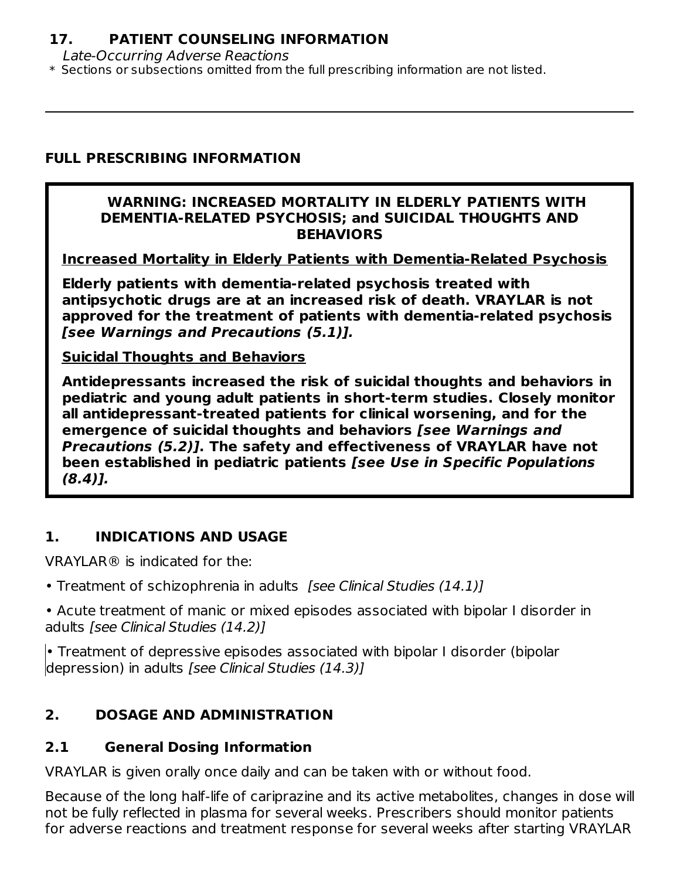#### **17. PATIENT COUNSELING INFORMATION**

Late-Occurring Adverse Reactions

\* Sections or subsections omitted from the full prescribing information are not listed.

#### **FULL PRESCRIBING INFORMATION**

#### **WARNING: INCREASED MORTALITY IN ELDERLY PATIENTS WITH DEMENTIA-RELATED PSYCHOSIS; and SUICIDAL THOUGHTS AND BEHAVIORS**

**Increased Mortality in Elderly Patients with Dementia-Related Psychosis**

**Elderly patients with dementia-related psychosis treated with antipsychotic drugs are at an increased risk of death. VRAYLAR is not approved for the treatment of patients with dementia-related psychosis [see Warnings and Precautions (5.1)].**

#### **Suicidal Thoughts and Behaviors**

**Antidepressants increased the risk of suicidal thoughts and behaviors in pediatric and young adult patients in short-term studies. Closely monitor all antidepressant-treated patients for clinical worsening, and for the emergence of suicidal thoughts and behaviors [see Warnings and Precautions (5.2)]. The safety and effectiveness of VRAYLAR have not been established in pediatric patients [see Use in Specific Populations (8.4)].**

#### **1. INDICATIONS AND USAGE**

VRAYLAR® is indicated for the:

- Treatment of schizophrenia in adults [see Clinical Studies (14.1)]
- Acute treatment of manic or mixed episodes associated with bipolar I disorder in adults [see Clinical Studies (14.2)]

• Treatment of depressive episodes associated with bipolar I disorder (bipolar depression) in adults *[see Clinical Studies (14.3)]* 

### **2. DOSAGE AND ADMINISTRATION**

#### **2.1 General Dosing Information**

VRAYLAR is given orally once daily and can be taken with or without food.

Because of the long half-life of cariprazine and its active metabolites, changes in dose will not be fully reflected in plasma for several weeks. Prescribers should monitor patients for adverse reactions and treatment response for several weeks after starting VRAYLAR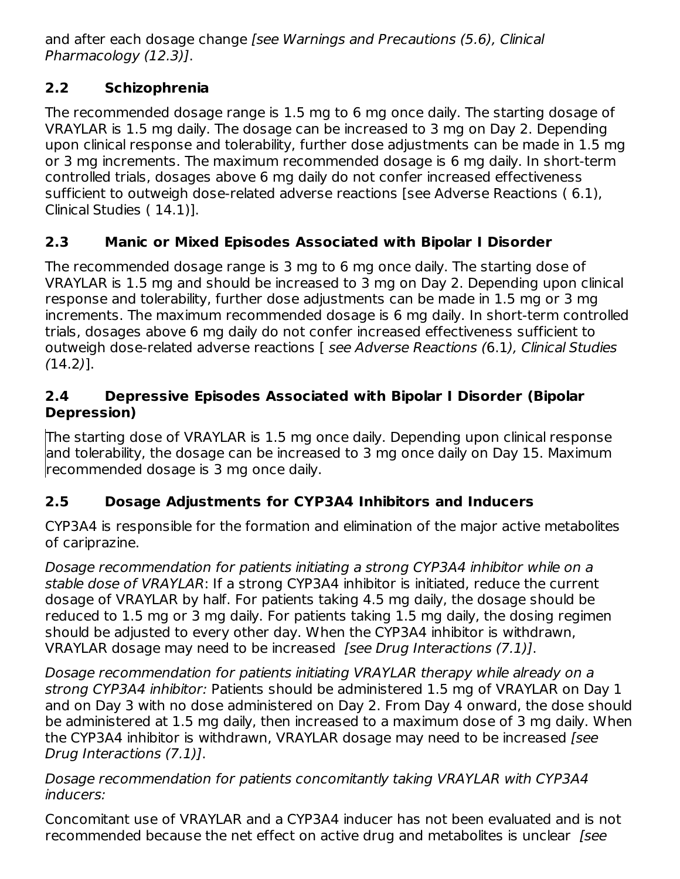and after each dosage change [see Warnings and Precautions (5.6), Clinical Pharmacology (12.3)].

## **2.2 Schizophrenia**

The recommended dosage range is 1.5 mg to 6 mg once daily. The starting dosage of VRAYLAR is 1.5 mg daily. The dosage can be increased to 3 mg on Day 2. Depending upon clinical response and tolerability, further dose adjustments can be made in 1.5 mg or 3 mg increments. The maximum recommended dosage is 6 mg daily. In short-term controlled trials, dosages above 6 mg daily do not confer increased effectiveness sufficient to outweigh dose-related adverse reactions [see Adverse Reactions ( 6.1), Clinical Studies ( 14.1)].

## **2.3 Manic or Mixed Episodes Associated with Bipolar I Disorder**

The recommended dosage range is 3 mg to 6 mg once daily. The starting dose of VRAYLAR is 1.5 mg and should be increased to 3 mg on Day 2. Depending upon clinical response and tolerability, further dose adjustments can be made in 1.5 mg or 3 mg increments. The maximum recommended dosage is 6 mg daily. In short-term controlled trials, dosages above 6 mg daily do not confer increased effectiveness sufficient to outweigh dose-related adverse reactions [ see Adverse Reactions (6.1), Clinical Studies (14.2)].

### **2.4 Depressive Episodes Associated with Bipolar I Disorder (Bipolar Depression)**

The starting dose of VRAYLAR is 1.5 mg once daily. Depending upon clinical response and tolerability, the dosage can be increased to 3 mg once daily on Day 15. Maximum recommended dosage is 3 mg once daily.

## **2.5 Dosage Adjustments for CYP3A4 Inhibitors and Inducers**

CYP3A4 is responsible for the formation and elimination of the major active metabolites of cariprazine.

Dosage recommendation for patients initiating a strong CYP3A4 inhibitor while on a stable dose of VRAYLAR: If a strong CYP3A4 inhibitor is initiated, reduce the current dosage of VRAYLAR by half. For patients taking 4.5 mg daily, the dosage should be reduced to 1.5 mg or 3 mg daily. For patients taking 1.5 mg daily, the dosing regimen should be adjusted to every other day. When the CYP3A4 inhibitor is withdrawn, VRAYLAR dosage may need to be increased [see Drug Interactions (7.1)].

Dosage recommendation for patients initiating VRAYLAR therapy while already on a strong CYP3A4 inhibitor: Patients should be administered 1.5 mg of VRAYLAR on Day 1 and on Day 3 with no dose administered on Day 2. From Day 4 onward, the dose should be administered at 1.5 mg daily, then increased to a maximum dose of 3 mg daily. When the CYP3A4 inhibitor is withdrawn, VRAYLAR dosage may need to be increased [see Drug Interactions (7.1)].

Dosage recommendation for patients concomitantly taking VRAYLAR with CYP3A4 inducers:

Concomitant use of VRAYLAR and a CYP3A4 inducer has not been evaluated and is not recommended because the net effect on active drug and metabolites is unclear [see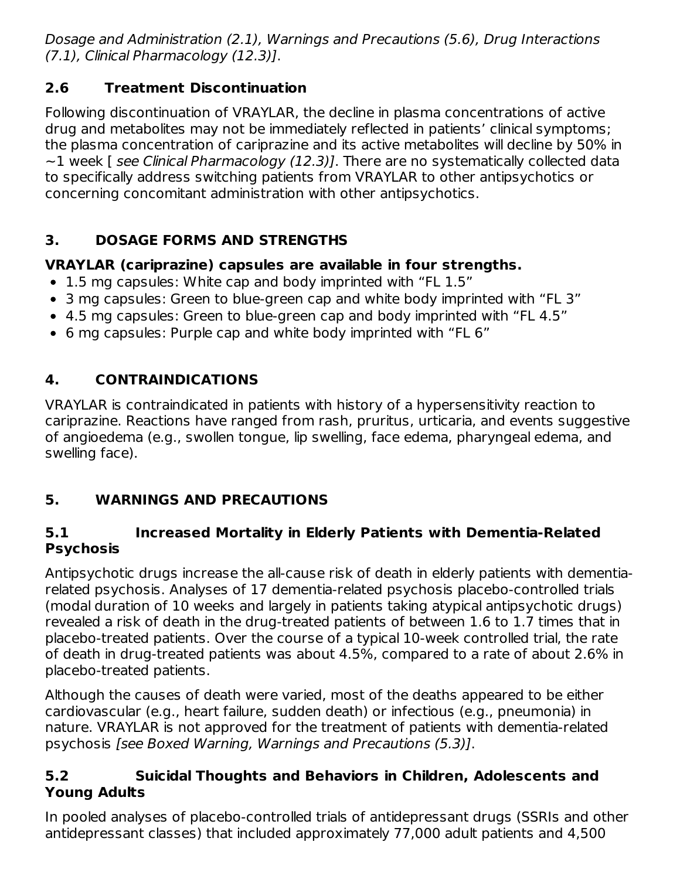Dosage and Administration (2.1), Warnings and Precautions (5.6), Drug Interactions (7.1), Clinical Pharmacology (12.3)].

## **2.6 Treatment Discontinuation**

Following discontinuation of VRAYLAR, the decline in plasma concentrations of active drug and metabolites may not be immediately reflected in patients' clinical symptoms; the plasma concentration of cariprazine and its active metabolites will decline by 50% in  $\sim$ 1 week [ see Clinical Pharmacology (12.3)]. There are no systematically collected data to specifically address switching patients from VRAYLAR to other antipsychotics or concerning concomitant administration with other antipsychotics.

## **3. DOSAGE FORMS AND STRENGTHS**

## **VRAYLAR (cariprazine) capsules are available in four strengths.**

- 1.5 mg capsules: White cap and body imprinted with "FL 1.5"
- 3 mg capsules: Green to blue-green cap and white body imprinted with "FL 3"
- 4.5 mg capsules: Green to blue-green cap and body imprinted with "FL 4.5"
- 6 mg capsules: Purple cap and white body imprinted with "FL 6"

# **4. CONTRAINDICATIONS**

VRAYLAR is contraindicated in patients with history of a hypersensitivity reaction to cariprazine. Reactions have ranged from rash, pruritus, urticaria, and events suggestive of angioedema (e.g., swollen tongue, lip swelling, face edema, pharyngeal edema, and swelling face).

# **5. WARNINGS AND PRECAUTIONS**

### **5.1 Increased Mortality in Elderly Patients with Dementia-Related Psychosis**

Antipsychotic drugs increase the all-cause risk of death in elderly patients with dementiarelated psychosis. Analyses of 17 dementia-related psychosis placebo-controlled trials (modal duration of 10 weeks and largely in patients taking atypical antipsychotic drugs) revealed a risk of death in the drug-treated patients of between 1.6 to 1.7 times that in placebo-treated patients. Over the course of a typical 10-week controlled trial, the rate of death in drug-treated patients was about 4.5%, compared to a rate of about 2.6% in placebo-treated patients.

Although the causes of death were varied, most of the deaths appeared to be either cardiovascular (e.g., heart failure, sudden death) or infectious (e.g., pneumonia) in nature. VRAYLAR is not approved for the treatment of patients with dementia-related psychosis [see Boxed Warning, Warnings and Precautions (5.3)].

## **5.2 Suicidal Thoughts and Behaviors in Children, Adolescents and Young Adults**

In pooled analyses of placebo-controlled trials of antidepressant drugs (SSRIs and other antidepressant classes) that included approximately 77,000 adult patients and 4,500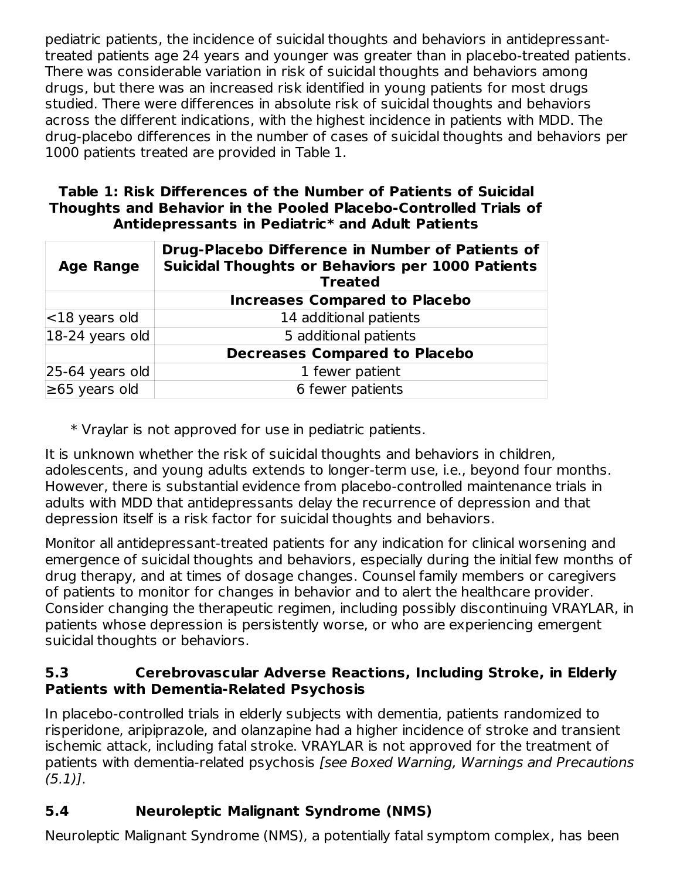pediatric patients, the incidence of suicidal thoughts and behaviors in antidepressanttreated patients age 24 years and younger was greater than in placebo-treated patients. There was considerable variation in risk of suicidal thoughts and behaviors among drugs, but there was an increased risk identified in young patients for most drugs studied. There were differences in absolute risk of suicidal thoughts and behaviors across the different indications, with the highest incidence in patients with MDD. The drug-placebo differences in the number of cases of suicidal thoughts and behaviors per 1000 patients treated are provided in Table 1.

#### **Table 1: Risk Differences of the Number of Patients of Suicidal Thoughts and Behavior in the Pooled Placebo-Controlled Trials of Antidepressants in Pediatric\* and Adult Patients**

| <b>Age Range</b>           | Drug-Placebo Difference in Number of Patients of<br><b>Suicidal Thoughts or Behaviors per 1000 Patients</b><br><b>Treated</b> |
|----------------------------|-------------------------------------------------------------------------------------------------------------------------------|
|                            | <b>Increases Compared to Placebo</b>                                                                                          |
| $ $ <18 years old          | 14 additional patients                                                                                                        |
| $ 18-24 \rangle$ years old | 5 additional patients                                                                                                         |
|                            | <b>Decreases Compared to Placebo</b>                                                                                          |
| $25-64$ years old          | 1 fewer patient                                                                                                               |
| $\geq 65$ years old        | 6 fewer patients                                                                                                              |

\* Vraylar is not approved for use in pediatric patients.

It is unknown whether the risk of suicidal thoughts and behaviors in children, adolescents, and young adults extends to longer-term use, i.e., beyond four months. However, there is substantial evidence from placebo-controlled maintenance trials in adults with MDD that antidepressants delay the recurrence of depression and that depression itself is a risk factor for suicidal thoughts and behaviors.

Monitor all antidepressant-treated patients for any indication for clinical worsening and emergence of suicidal thoughts and behaviors, especially during the initial few months of drug therapy, and at times of dosage changes. Counsel family members or caregivers of patients to monitor for changes in behavior and to alert the healthcare provider. Consider changing the therapeutic regimen, including possibly discontinuing VRAYLAR, in patients whose depression is persistently worse, or who are experiencing emergent suicidal thoughts or behaviors.

### **5.3 Cerebrovascular Adverse Reactions, Including Stroke, in Elderly Patients with Dementia-Related Psychosis**

In placebo-controlled trials in elderly subjects with dementia, patients randomized to risperidone, aripiprazole, and olanzapine had a higher incidence of stroke and transient ischemic attack, including fatal stroke. VRAYLAR is not approved for the treatment of patients with dementia-related psychosis [see Boxed Warning, Warnings and Precautions  $(5.1)$ .

# **5.4 Neuroleptic Malignant Syndrome (NMS)**

Neuroleptic Malignant Syndrome (NMS), a potentially fatal symptom complex, has been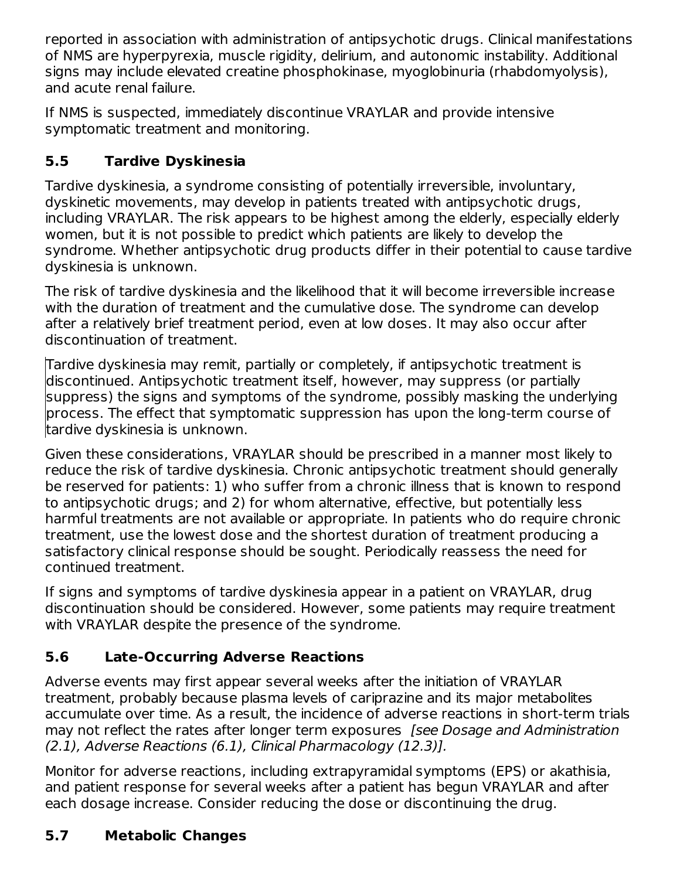reported in association with administration of antipsychotic drugs. Clinical manifestations of NMS are hyperpyrexia, muscle rigidity, delirium, and autonomic instability. Additional signs may include elevated creatine phosphokinase, myoglobinuria (rhabdomyolysis), and acute renal failure.

If NMS is suspected, immediately discontinue VRAYLAR and provide intensive symptomatic treatment and monitoring.

## **5.5 Tardive Dyskinesia**

Tardive dyskinesia, a syndrome consisting of potentially irreversible, involuntary, dyskinetic movements, may develop in patients treated with antipsychotic drugs, including VRAYLAR. The risk appears to be highest among the elderly, especially elderly women, but it is not possible to predict which patients are likely to develop the syndrome. Whether antipsychotic drug products differ in their potential to cause tardive dyskinesia is unknown.

The risk of tardive dyskinesia and the likelihood that it will become irreversible increase with the duration of treatment and the cumulative dose. The syndrome can develop after a relatively brief treatment period, even at low doses. It may also occur after discontinuation of treatment.

Tardive dyskinesia may remit, partially or completely, if antipsychotic treatment is discontinued. Antipsychotic treatment itself, however, may suppress (or partially suppress) the signs and symptoms of the syndrome, possibly masking the underlying process. The effect that symptomatic suppression has upon the long-term course of tardive dyskinesia is unknown.

Given these considerations, VRAYLAR should be prescribed in a manner most likely to reduce the risk of tardive dyskinesia. Chronic antipsychotic treatment should generally be reserved for patients: 1) who suffer from a chronic illness that is known to respond to antipsychotic drugs; and 2) for whom alternative, effective, but potentially less harmful treatments are not available or appropriate. In patients who do require chronic treatment, use the lowest dose and the shortest duration of treatment producing a satisfactory clinical response should be sought. Periodically reassess the need for continued treatment.

If signs and symptoms of tardive dyskinesia appear in a patient on VRAYLAR, drug discontinuation should be considered. However, some patients may require treatment with VRAYLAR despite the presence of the syndrome.

# **5.6 Late-Occurring Adverse Reactions**

Adverse events may first appear several weeks after the initiation of VRAYLAR treatment, probably because plasma levels of cariprazine and its major metabolites accumulate over time. As a result, the incidence of adverse reactions in short-term trials may not reflect the rates after longer term exposures *[see Dosage and Administration* (2.1), Adverse Reactions (6.1), Clinical Pharmacology (12.3)].

Monitor for adverse reactions, including extrapyramidal symptoms (EPS) or akathisia, and patient response for several weeks after a patient has begun VRAYLAR and after each dosage increase. Consider reducing the dose or discontinuing the drug.

# **5.7 Metabolic Changes**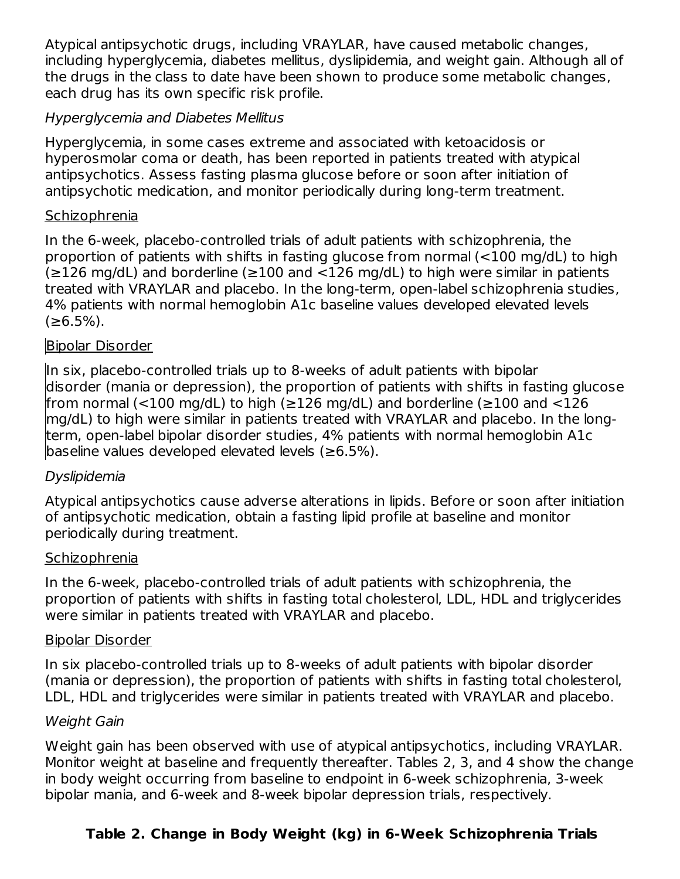Atypical antipsychotic drugs, including VRAYLAR, have caused metabolic changes, including hyperglycemia, diabetes mellitus, dyslipidemia, and weight gain. Although all of the drugs in the class to date have been shown to produce some metabolic changes, each drug has its own specific risk profile.

#### Hyperglycemia and Diabetes Mellitus

Hyperglycemia, in some cases extreme and associated with ketoacidosis or hyperosmolar coma or death, has been reported in patients treated with atypical antipsychotics. Assess fasting plasma glucose before or soon after initiation of antipsychotic medication, and monitor periodically during long-term treatment.

#### Schizophrenia

In the 6-week, placebo-controlled trials of adult patients with schizophrenia, the proportion of patients with shifts in fasting glucose from normal (<100 mg/dL) to high  $(≥126$  mg/dL) and borderline (≥100 and <126 mg/dL) to high were similar in patients treated with VRAYLAR and placebo. In the long-term, open-label schizophrenia studies, 4% patients with normal hemoglobin A1c baseline values developed elevated levels  $(≥6.5\%).$ 

#### Bipolar Disorder

In six, placebo-controlled trials up to 8-weeks of adult patients with bipolar disorder (mania or depression), the proportion of patients with shifts in fasting glucose from normal (<100 mg/dL) to high (≥126 mg/dL) and borderline (≥100 and <126 mg/dL) to high were similar in patients treated with VRAYLAR and placebo. In the longterm, open-label bipolar disorder studies, 4% patients with normal hemoglobin A1c baseline values developed elevated levels (≥6.5%).

#### Dyslipidemia

Atypical antipsychotics cause adverse alterations in lipids. Before or soon after initiation of antipsychotic medication, obtain a fasting lipid profile at baseline and monitor periodically during treatment.

#### Schizophrenia

In the 6-week, placebo-controlled trials of adult patients with schizophrenia, the proportion of patients with shifts in fasting total cholesterol, LDL, HDL and triglycerides were similar in patients treated with VRAYLAR and placebo.

#### Bipolar Disorder

In six placebo-controlled trials up to 8-weeks of adult patients with bipolar disorder (mania or depression), the proportion of patients with shifts in fasting total cholesterol, LDL, HDL and triglycerides were similar in patients treated with VRAYLAR and placebo.

#### Weight Gain

Weight gain has been observed with use of atypical antipsychotics, including VRAYLAR. Monitor weight at baseline and frequently thereafter. Tables 2, 3, and 4 show the change in body weight occurring from baseline to endpoint in 6-week schizophrenia, 3-week bipolar mania, and 6-week and 8-week bipolar depression trials, respectively.

### **Table 2. Change in Body Weight (kg) in 6-Week Schizophrenia Trials**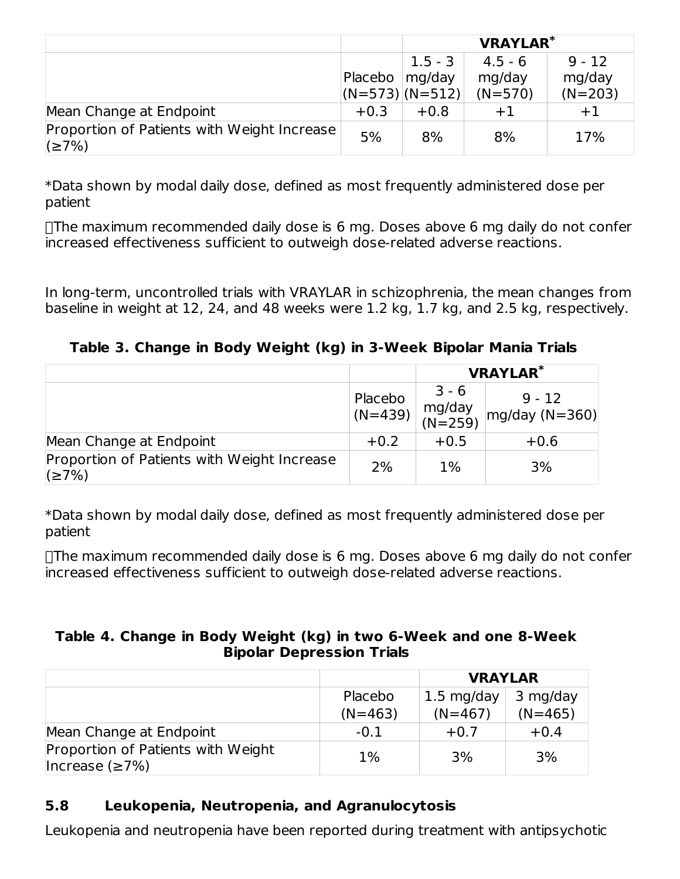|                                                      |         | <b>VRAYLAR*</b>  |           |           |
|------------------------------------------------------|---------|------------------|-----------|-----------|
|                                                      |         | $1.5 - 3$        | $4.5 - 6$ | $9 - 12$  |
|                                                      | Placebo | mg/day           | mg/day    | mg/day    |
|                                                      |         | $(N=573)(N=512)$ | $(N=570)$ | $(N=203)$ |
| Mean Change at Endpoint                              | $+0.3$  | $+0.8$           | $+1$      | $+1$      |
| Proportion of Patients with Weight Increase<br>(≥7%) | 5%      | 8%               | 8%        | 17%       |

\*Data shown by modal daily dose, defined as most frequently administered dose per patient

The maximum recommended daily dose is 6 mg. Doses above 6 mg daily do not confer increased effectiveness sufficient to outweigh dose-related adverse reactions.

In long-term, uncontrolled trials with VRAYLAR in schizophrenia, the mean changes from baseline in weight at 12, 24, and 48 weeks were 1.2 kg, 1.7 kg, and 2.5 kg, respectively.

#### **Table 3. Change in Body Weight (kg) in 3-Week Bipolar Mania Trials**

|                                                             |                      | <b>VRAYLAR*</b>              |                              |  |
|-------------------------------------------------------------|----------------------|------------------------------|------------------------------|--|
|                                                             | Placebo<br>$(N=439)$ | $3 - 6$<br>mg/day<br>(N=259) | $9 - 12$<br>$mg/day (N=360)$ |  |
| Mean Change at Endpoint                                     | $+0.2$               | $+0.5$                       | $+0.6$                       |  |
| Proportion of Patients with Weight Increase<br>$\leq 7\%$ ) | 2%                   | $1\%$                        | 3%                           |  |

\*Data shown by modal daily dose, defined as most frequently administered dose per patient

The maximum recommended daily dose is 6 mg. Doses above 6 mg daily do not confer increased effectiveness sufficient to outweigh dose-related adverse reactions.

#### **Table 4. Change in Body Weight (kg) in two 6-Week and one 8-Week Bipolar Depression Trials**

|                                                             |           | <b>VRAYLAR</b>       |           |  |
|-------------------------------------------------------------|-----------|----------------------|-----------|--|
|                                                             | Placebo   | $1.5 \text{ mg/day}$ | 3 mg/day  |  |
|                                                             | $(N=463)$ | $(N=467)$            | $(N=465)$ |  |
| Mean Change at Endpoint                                     | $-0.1$    | $+0.7$               | $+0.4$    |  |
| Proportion of Patients with Weight<br>Increase $(\geq 7\%)$ | 1%        | 3%                   | 3%        |  |

### **5.8 Leukopenia, Neutropenia, and Agranulocytosis**

Leukopenia and neutropenia have been reported during treatment with antipsychotic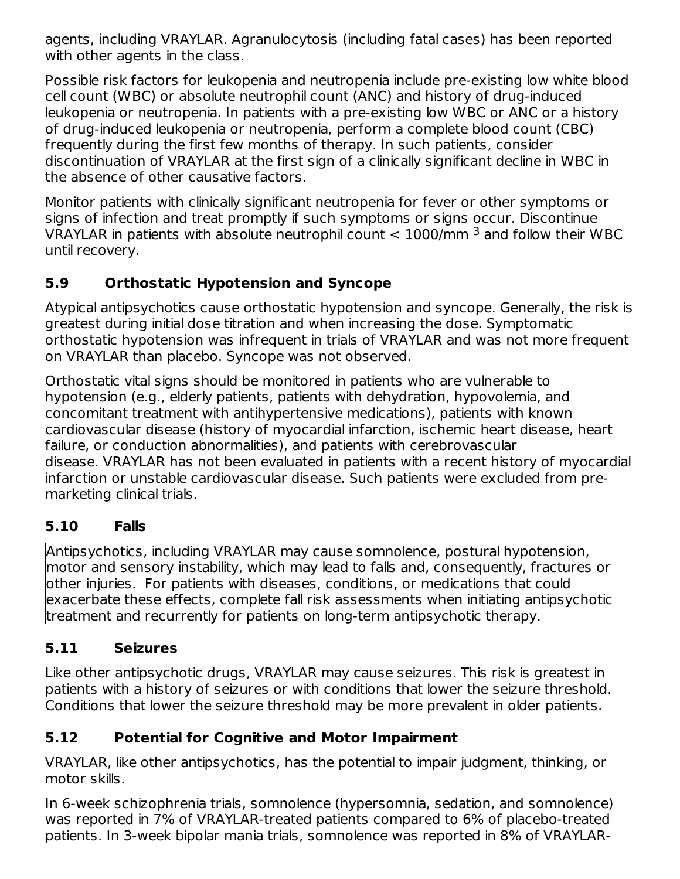agents, including VRAYLAR. Agranulocytosis (including fatal cases) has been reported with other agents in the class.

Possible risk factors for leukopenia and neutropenia include pre-existing low white blood cell count (WBC) or absolute neutrophil count (ANC) and history of drug-induced leukopenia or neutropenia. In patients with a pre-existing low WBC or ANC or a history of drug-induced leukopenia or neutropenia, perform a complete blood count (CBC) frequently during the first few months of therapy. In such patients, consider discontinuation of VRAYLAR at the first sign of a clinically significant decline in WBC in the absence of other causative factors.

Monitor patients with clinically significant neutropenia for fever or other symptoms or signs of infection and treat promptly if such symptoms or signs occur. Discontinue VRAYLAR in patients with absolute neutrophil count  $< 1000$ /mm  $^3$  and follow their WBC until recovery.

## **5.9 Orthostatic Hypotension and Syncope**

Atypical antipsychotics cause orthostatic hypotension and syncope. Generally, the risk is greatest during initial dose titration and when increasing the dose. Symptomatic orthostatic hypotension was infrequent in trials of VRAYLAR and was not more frequent on VRAYLAR than placebo. Syncope was not observed.

Orthostatic vital signs should be monitored in patients who are vulnerable to hypotension (e.g., elderly patients, patients with dehydration, hypovolemia, and concomitant treatment with antihypertensive medications), patients with known cardiovascular disease (history of myocardial infarction, ischemic heart disease, heart failure, or conduction abnormalities), and patients with cerebrovascular disease. VRAYLAR has not been evaluated in patients with a recent history of myocardial infarction or unstable cardiovascular disease. Such patients were excluded from premarketing clinical trials.

### **5.10 Falls**

Antipsychotics, including VRAYLAR may cause somnolence, postural hypotension, motor and sensory instability, which may lead to falls and, consequently, fractures or other injuries. For patients with diseases, conditions, or medications that could exacerbate these effects, complete fall risk assessments when initiating antipsychotic treatment and recurrently for patients on long-term antipsychotic therapy.

### **5.11 Seizures**

Like other antipsychotic drugs, VRAYLAR may cause seizures. This risk is greatest in patients with a history of seizures or with conditions that lower the seizure threshold. Conditions that lower the seizure threshold may be more prevalent in older patients.

### **5.12 Potential for Cognitive and Motor Impairment**

VRAYLAR, like other antipsychotics, has the potential to impair judgment, thinking, or motor skills.

In 6-week schizophrenia trials, somnolence (hypersomnia, sedation, and somnolence) was reported in 7% of VRAYLAR-treated patients compared to 6% of placebo-treated patients. In 3-week bipolar mania trials, somnolence was reported in 8% of VRAYLAR-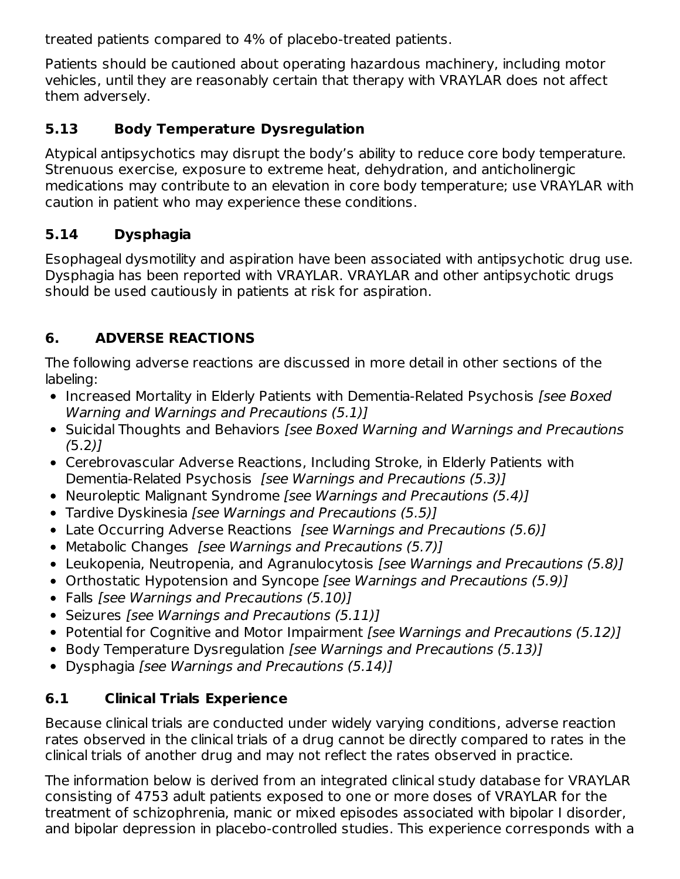treated patients compared to 4% of placebo-treated patients.

Patients should be cautioned about operating hazardous machinery, including motor vehicles, until they are reasonably certain that therapy with VRAYLAR does not affect them adversely.

## **5.13 Body Temperature Dysregulation**

Atypical antipsychotics may disrupt the body's ability to reduce core body temperature. Strenuous exercise, exposure to extreme heat, dehydration, and anticholinergic medications may contribute to an elevation in core body temperature; use VRAYLAR with caution in patient who may experience these conditions.

## **5.14 Dysphagia**

Esophageal dysmotility and aspiration have been associated with antipsychotic drug use. Dysphagia has been reported with VRAYLAR. VRAYLAR and other antipsychotic drugs should be used cautiously in patients at risk for aspiration.

## **6. ADVERSE REACTIONS**

The following adverse reactions are discussed in more detail in other sections of the labeling:

- Increased Mortality in Elderly Patients with Dementia-Related Psychosis [see Boxed Warning and Warnings and Precautions (5.1)]
- Suicidal Thoughts and Behaviors [see Boxed Warning and Warnings and Precautions  $(5.2)$
- Cerebrovascular Adverse Reactions, Including Stroke, in Elderly Patients with Dementia-Related Psychosis [see Warnings and Precautions (5.3)]
- Neuroleptic Malignant Syndrome [see Warnings and Precautions (5.4)]
- Tardive Dyskinesia [see Warnings and Precautions (5.5)]
- Late Occurring Adverse Reactions [see Warnings and Precautions (5.6)]
- Metabolic Changes *[see Warnings and Precautions (5.7)]*
- Leukopenia, Neutropenia, and Agranulocytosis [see Warnings and Precautions (5.8)]
- Orthostatic Hypotension and Syncope [see Warnings and Precautions (5.9)]
- Falls [see Warnings and Precautions (5.10)]
- Seizures *[see Warnings and Precautions (5.11)]*
- Potential for Cognitive and Motor Impairment *[see Warnings and Precautions (5.12)]*
- Body Temperature Dysregulation [see Warnings and Precautions (5.13)]
- Dysphagia [see Warnings and Precautions (5.14)]

## **6.1 Clinical Trials Experience**

Because clinical trials are conducted under widely varying conditions, adverse reaction rates observed in the clinical trials of a drug cannot be directly compared to rates in the clinical trials of another drug and may not reflect the rates observed in practice.

The information below is derived from an integrated clinical study database for VRAYLAR consisting of 4753 adult patients exposed to one or more doses of VRAYLAR for the treatment of schizophrenia, manic or mixed episodes associated with bipolar I disorder, and bipolar depression in placebo-controlled studies. This experience corresponds with a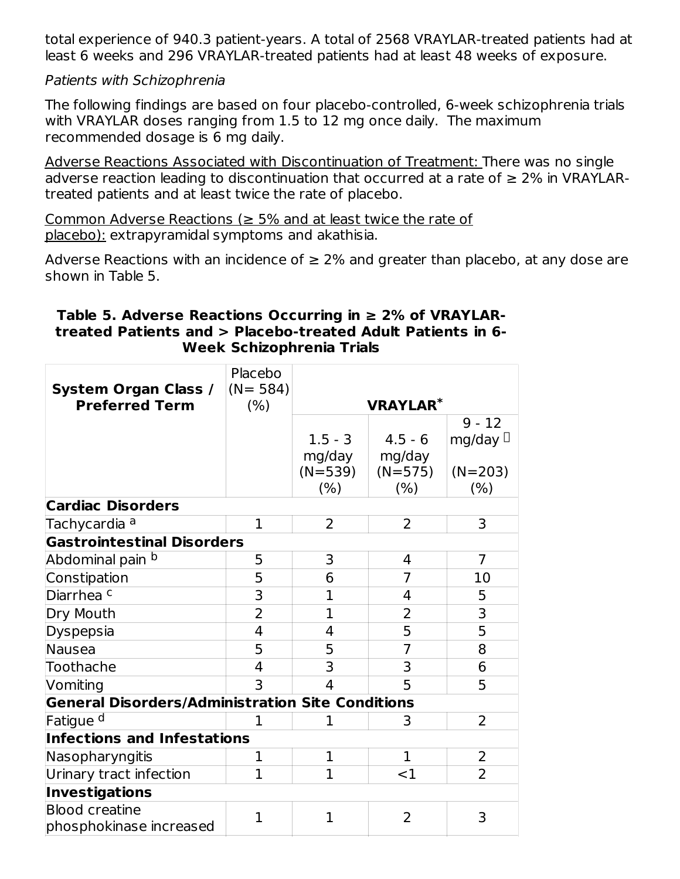total experience of 940.3 patient-years. A total of 2568 VRAYLAR-treated patients had at least 6 weeks and 296 VRAYLAR-treated patients had at least 48 weeks of exposure.

Patients with Schizophrenia

The following findings are based on four placebo-controlled, 6-week schizophrenia trials with VRAYLAR doses ranging from 1.5 to 12 mg once daily. The maximum recommended dosage is 6 mg daily.

Adverse Reactions Associated with Discontinuation of Treatment: There was no single adverse reaction leading to discontinuation that occurred at a rate of  $\geq 2\%$  in VRAYLARtreated patients and at least twice the rate of placebo.

Common Adverse Reactions ( $\geq$  5% and at least twice the rate of placebo): extrapyramidal symptoms and akathisia.

Adverse Reactions with an incidence of  $\geq 2\%$  and greater than placebo, at any dose are shown in Table 5.

#### **Table 5. Adverse Reactions Occurring in ≥ 2% of VRAYLARtreated Patients and > Placebo-treated Adult Patients in 6- Week Schizophrenia Trials**

| System Organ Class /<br><b>Preferred Term</b>           | Placebo<br>$(N = 584)$<br>(% ) |                     | <b>VRAYLAR*</b>     |                           |  |
|---------------------------------------------------------|--------------------------------|---------------------|---------------------|---------------------------|--|
|                                                         |                                | $1.5 - 3$<br>mg/day | $4.5 - 6$<br>mg/day | $9 - 12$<br>mg/day $\Box$ |  |
|                                                         |                                | $(N=539)$<br>(% )   | $(N=575)$<br>(% )   | $(N=203)$<br>(% )         |  |
| <b>Cardiac Disorders</b>                                |                                |                     |                     |                           |  |
| Tachycardia <sup>a</sup>                                | $\mathbf{1}$                   | $\overline{2}$      | $\overline{2}$      | 3                         |  |
| <b>Gastrointestinal Disorders</b>                       |                                |                     |                     |                           |  |
| Abdominal pain <sup>b</sup>                             | 5                              | 3                   | 4                   | $\overline{7}$            |  |
| Constipation                                            | 5                              | 6                   | 7                   | 10                        |  |
| Diarrhea <sup>c</sup>                                   | 3                              | $\overline{1}$      | 4                   | 5                         |  |
| Dry Mouth                                               | $\overline{2}$                 | $\mathbf{1}$        | $\overline{2}$      | 3                         |  |
| Dyspepsia                                               | 4                              | 4                   | 5                   | 5                         |  |
| Nausea                                                  | 5                              | 5                   | $\overline{7}$      | 8                         |  |
| Toothache                                               | 4                              | 3                   | 3                   | 6                         |  |
| Vomiting                                                | 3                              | 4                   | 5                   | 5                         |  |
| <b>General Disorders/Administration Site Conditions</b> |                                |                     |                     |                           |  |
| Fatigue <sup>d</sup>                                    | $\mathbf{1}$                   | 1                   | 3                   | $\overline{2}$            |  |
| <b>Infections and Infestations</b>                      |                                |                     |                     |                           |  |
| Nasopharyngitis                                         | $\mathbf{1}$                   | $\mathbf{1}$        | $\mathbf{1}$        | 2                         |  |
| Urinary tract infection                                 | $\mathbf{1}$                   | $\mathbf{1}$        | $<$ 1               | $\overline{2}$            |  |
| Investigations                                          |                                |                     |                     |                           |  |
| <b>Blood creatine</b><br>phosphokinase increased        | $\mathbf{1}$                   | $\mathbf{1}$        | $\overline{2}$      | 3                         |  |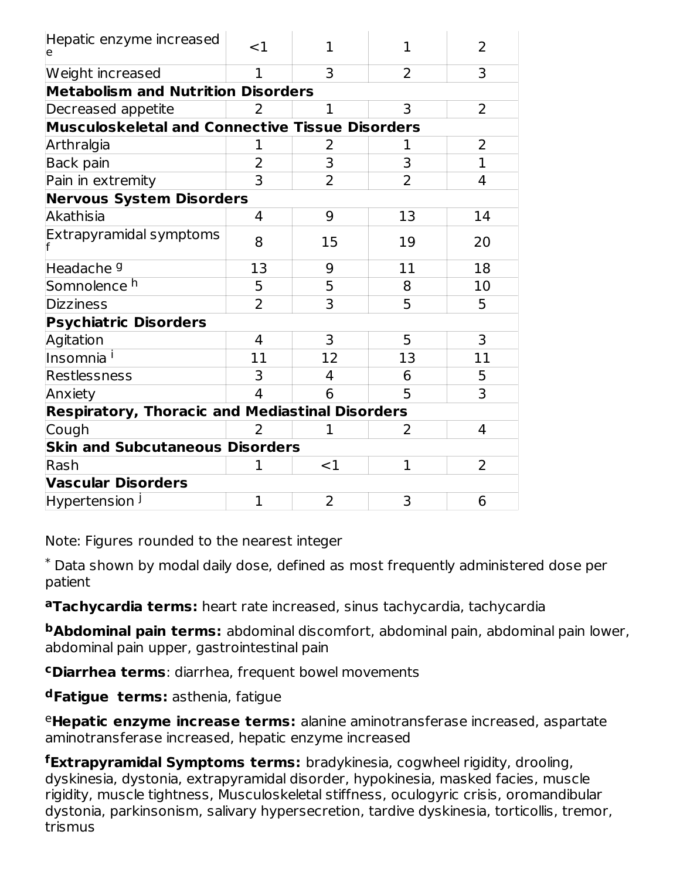| Hepatic enzyme increased<br>le                         | $<$ 1          | 1              | 1              | 2              |  |  |
|--------------------------------------------------------|----------------|----------------|----------------|----------------|--|--|
| Weight increased                                       | 1              | 3              | 2              | 3              |  |  |
| <b>Metabolism and Nutrition Disorders</b>              |                |                |                |                |  |  |
| Decreased appetite                                     | 2              | $\mathbf{1}$   | 3              | $\overline{2}$ |  |  |
| Musculoskeletal and Connective Tissue Disorders        |                |                |                |                |  |  |
| Arthralgia                                             | 1              | 2              | 1              | $\overline{2}$ |  |  |
| Back pain                                              | $\overline{2}$ | 3              | 3              | $\mathbf{1}$   |  |  |
| Pain in extremity                                      | 3              | $\overline{2}$ | $\overline{2}$ | 4              |  |  |
| <b>Nervous System Disorders</b>                        |                |                |                |                |  |  |
| Akathisia                                              | 4              | 9              | 13             | 14             |  |  |
| Extrapyramidal symptoms                                | 8              | 15             | 19             | 20             |  |  |
| Headache <sup>9</sup>                                  | 13             | 9              | 11             | 18             |  |  |
| Somnolence <sup>h</sup>                                | 5              | 5              | 8              | 10             |  |  |
| <b>Dizziness</b>                                       | $\overline{2}$ | 3              | 5              | 5              |  |  |
| <b>Psychiatric Disorders</b>                           |                |                |                |                |  |  |
| Agitation                                              | 4              | 3              | 5              | 3              |  |  |
| Insomnia <sup>i</sup>                                  | 11             | 12             | 13             | 11             |  |  |
| Restlessness                                           | 3              | 4              | 6              | 5              |  |  |
| Anxiety                                                | $\overline{4}$ | 6              | 5              | 3              |  |  |
| <b>Respiratory, Thoracic and Mediastinal Disorders</b> |                |                |                |                |  |  |
| Cough                                                  | 2              | $\mathbf 1$    | 2              | 4              |  |  |
| <b>Skin and Subcutaneous Disorders</b>                 |                |                |                |                |  |  |
| Rash                                                   | 1              | $<$ 1          | 1              | 2              |  |  |
| <b>Vascular Disorders</b>                              |                |                |                |                |  |  |
| Hypertension J                                         | 1              | $\overline{2}$ | 3              | 6              |  |  |

Note: Figures rounded to the nearest integer

 $^*$  Data shown by modal daily dose, defined as most frequently administered dose per patient

**Tachycardia terms:** heart rate increased, sinus tachycardia, tachycardia **a**

**Abdominal pain terms:** abdominal discomfort, abdominal pain, abdominal pain lower, **b** abdominal pain upper, gastrointestinal pain

**Diarrhea terms**: diarrhea, frequent bowel movements **c**

**Fatigue terms:** asthenia, fatigue **d**

**Hepatic enzyme increase terms:** alanine aminotransferase increased, aspartate e aminotransferase increased, hepatic enzyme increased

**Extrapyramidal Symptoms terms:** bradykinesia, cogwheel rigidity, drooling, **f** dyskinesia, dystonia, extrapyramidal disorder, hypokinesia, masked facies, muscle rigidity, muscle tightness, Musculoskeletal stiffness, oculogyric crisis, oromandibular dystonia, parkinsonism, salivary hypersecretion, tardive dyskinesia, torticollis, tremor, trismus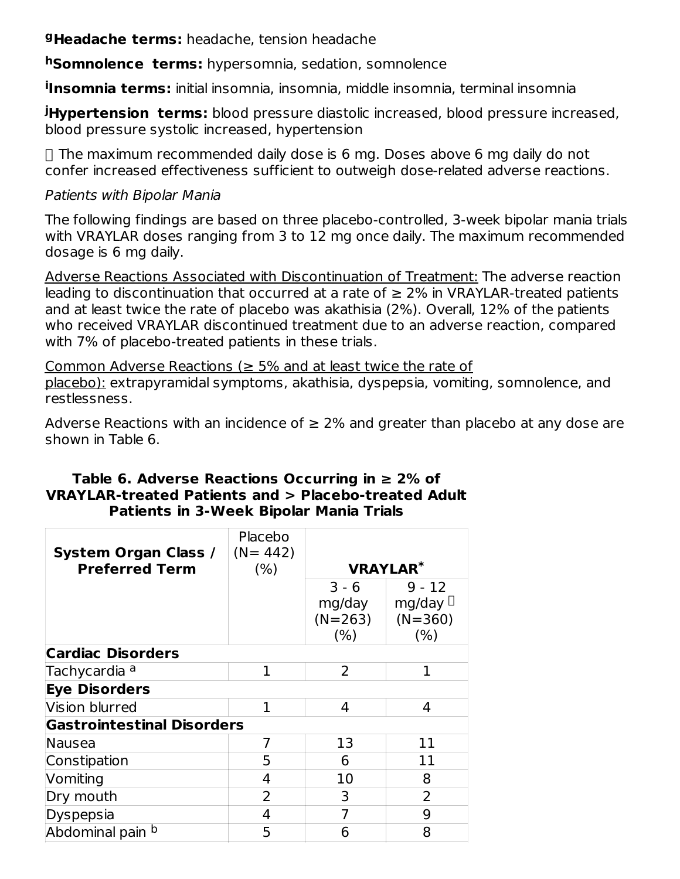**Headache terms:** headache, tension headache **g**

**Somnolence terms:** hypersomnia, sedation, somnolence **h**

**Insomnia terms:** initial insomnia, insomnia, middle insomnia, terminal insomnia **i**

**Hypertension terms:** blood pressure diastolic increased, blood pressure increased, **j** blood pressure systolic increased, hypertension

 $\Box$  The maximum recommended daily dose is 6 mg. Doses above 6 mg daily do not confer increased effectiveness sufficient to outweigh dose-related adverse reactions.

#### Patients with Bipolar Mania

The following findings are based on three placebo-controlled, 3-week bipolar mania trials with VRAYLAR doses ranging from 3 to 12 mg once daily. The maximum recommended dosage is 6 mg daily.

Adverse Reactions Associated with Discontinuation of Treatment: The adverse reaction leading to discontinuation that occurred at a rate of  $\geq 2\%$  in VRAYLAR-treated patients and at least twice the rate of placebo was akathisia (2%). Overall, 12% of the patients who received VRAYLAR discontinued treatment due to an adverse reaction, compared with 7% of placebo-treated patients in these trials.

Common Adverse Reactions ( $\geq$  5% and at least twice the rate of placebo): extrapyramidal symptoms, akathisia, dyspepsia, vomiting, somnolence, and restlessness.

Adverse Reactions with an incidence of  $\geq 2\%$  and greater than placebo at any dose are shown in Table 6.

#### **Table 6. Adverse Reactions Occurring in ≥ 2% of VRAYLAR-treated Patients and > Placebo-treated Adult Patients in 3-Week Bipolar Mania Trials**

| <b>System Organ Class /</b>       | Placebo<br>$(N = 442)$ |                |                 |
|-----------------------------------|------------------------|----------------|-----------------|
| <b>Preferred Term</b>             | (% )                   |                | <b>VRAYLAR*</b> |
|                                   |                        | $3 - 6$        | $9 - 12$        |
|                                   |                        | mg/day         | mg/day $\Box$   |
|                                   |                        | $(N=263)$      | $(N=360)$       |
|                                   |                        | (% )           | (% )            |
| <b>Cardiac Disorders</b>          |                        |                |                 |
| Tachycardia <sup>a</sup>          | 1                      | $\overline{2}$ | 1               |
| <b>Eye Disorders</b>              |                        |                |                 |
| Vision blurred                    | 1                      | 4              | 4               |
| <b>Gastrointestinal Disorders</b> |                        |                |                 |
| Nausea                            | 7                      | 13             | 11              |
| Constipation                      | 5                      | 6              | 11              |
| Vomiting                          | 4                      | 10             | 8               |
| Dry mouth                         | 2                      | 3              | $\overline{2}$  |
| Dyspepsia                         | 4                      | 7              | 9               |
| Abdominal pain b                  | 5                      | 6              | 8               |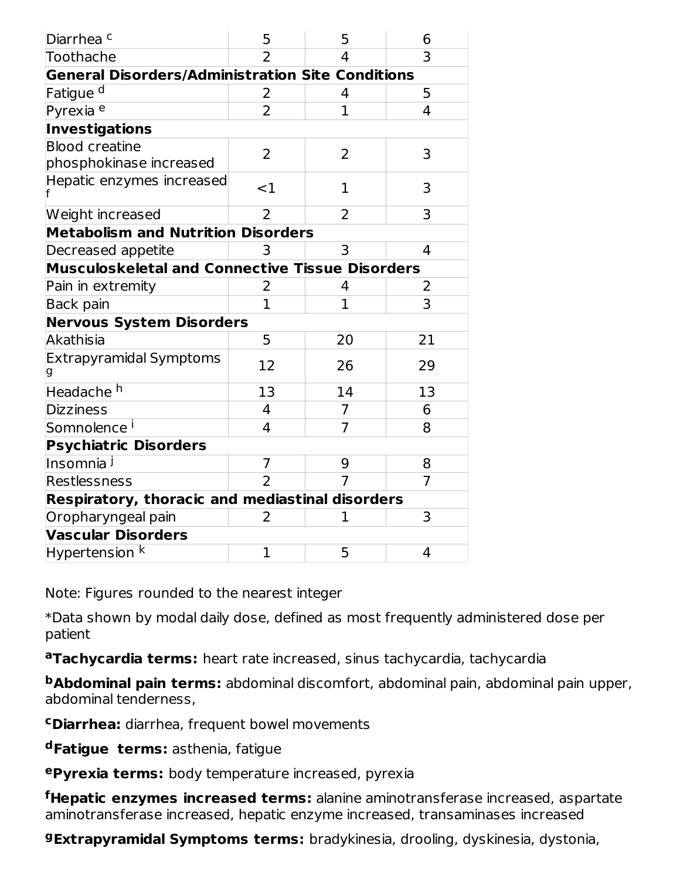| Diarrhea <sup>c</sup>                                   | 5                                                      | 5              | 6  |  |  |  |  |
|---------------------------------------------------------|--------------------------------------------------------|----------------|----|--|--|--|--|
| Toothache                                               |                                                        | 4              | 3  |  |  |  |  |
| <b>General Disorders/Administration Site Conditions</b> |                                                        |                |    |  |  |  |  |
| Fatigue <sup>d</sup>                                    | 2                                                      | 4              | 5  |  |  |  |  |
| Pyrexia <sup>e</sup>                                    | $\overline{2}$                                         | $\overline{1}$ | 4  |  |  |  |  |
| <b>Investigations</b>                                   |                                                        |                |    |  |  |  |  |
| <b>Blood creatine</b><br>phosphokinase increased        | 2                                                      | 2              | 3  |  |  |  |  |
| Hepatic enzymes increased                               | ${<}1$                                                 | 1              | 3  |  |  |  |  |
| Weight increased                                        | 2                                                      | 2              | 3  |  |  |  |  |
| <b>Metabolism and Nutrition Disorders</b>               |                                                        |                |    |  |  |  |  |
| Decreased appetite                                      | 3                                                      | 3              | 4  |  |  |  |  |
|                                                         | <b>Musculoskeletal and Connective Tissue Disorders</b> |                |    |  |  |  |  |
| Pain in extremity                                       | 2                                                      | 4              | 2  |  |  |  |  |
| Back pain                                               | $\mathbf{1}$                                           | $\mathbf{1}$   | 3  |  |  |  |  |
| <b>Nervous System Disorders</b>                         |                                                        |                |    |  |  |  |  |
| Akathisia                                               | 5                                                      | 20             | 21 |  |  |  |  |
| <b>Extrapyramidal Symptoms</b>                          | 12                                                     | 26             | 29 |  |  |  |  |
| Headache <sup>h</sup>                                   | 13                                                     | 14             | 13 |  |  |  |  |
| <b>Dizziness</b>                                        | 4                                                      | 7              | 6  |  |  |  |  |
| Somnolence <sup>i</sup>                                 | 4                                                      | $\overline{7}$ | 8  |  |  |  |  |
| <b>Psychiatric Disorders</b>                            |                                                        |                |    |  |  |  |  |
| Insomnia <sup>j</sup>                                   | $\overline{7}$                                         | 9              | 8  |  |  |  |  |
| Restlessness                                            | $\overline{2}$                                         |                | 7  |  |  |  |  |
| Respiratory, thoracic and mediastinal disorders         |                                                        |                |    |  |  |  |  |
| Oropharyngeal pain                                      | 2                                                      | 1              | 3  |  |  |  |  |
| <b>Vascular Disorders</b>                               |                                                        |                |    |  |  |  |  |
| Hypertension <sup>k</sup>                               | $\mathbf{1}$                                           | 5              | 4  |  |  |  |  |

Note: Figures rounded to the nearest integer

\*Data shown by modal daily dose, defined as most frequently administered dose per patient

**Tachycardia terms:** heart rate increased, sinus tachycardia, tachycardia **a**

**Abdominal pain terms:** abdominal discomfort, abdominal pain, abdominal pain upper, **b** abdominal tenderness,

**Diarrhea:** diarrhea, frequent bowel movements **c**

**Fatigue terms:** asthenia, fatigue **d**

**Pyrexia terms:** body temperature increased, pyrexia **e**

**Hepatic enzymes increased terms:** alanine aminotransferase increased, aspartate **f** aminotransferase increased, hepatic enzyme increased, transaminases increased

**Extrapyramidal Symptoms terms:** bradykinesia, drooling, dyskinesia, dystonia, **g**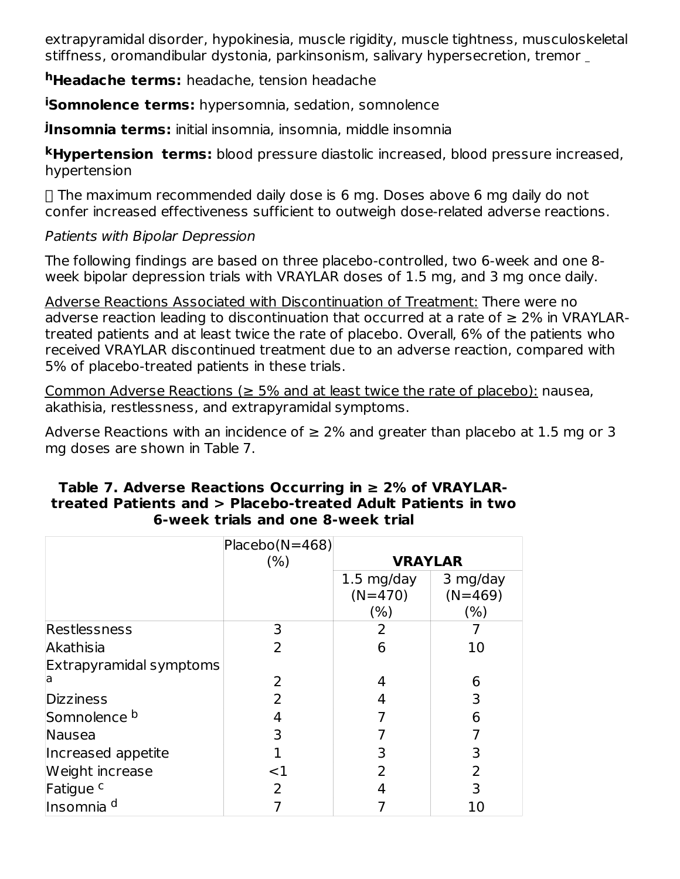extrapyramidal disorder, hypokinesia, muscle rigidity, muscle tightness, musculoskeletal stiffness, oromandibular dystonia, parkinsonism, salivary hypersecretion, tremor

**Headache terms:** headache, tension headache **h**

**iSomnolence terms:** hypersomnia, sedation, somnolence

**Insomnia terms:** initial insomnia, insomnia, middle insomnia **j**

**Hypertension terms:** blood pressure diastolic increased, blood pressure increased, **k** hypertension

 $\Box$  The maximum recommended daily dose is 6 mg. Doses above 6 mg daily do not confer increased effectiveness sufficient to outweigh dose-related adverse reactions.

Patients with Bipolar Depression

The following findings are based on three placebo-controlled, two 6-week and one 8 week bipolar depression trials with VRAYLAR doses of 1.5 mg, and 3 mg once daily.

Adverse Reactions Associated with Discontinuation of Treatment: There were no adverse reaction leading to discontinuation that occurred at a rate of  $\geq 2\%$  in VRAYLARtreated patients and at least twice the rate of placebo. Overall, 6% of the patients who received VRAYLAR discontinued treatment due to an adverse reaction, compared with 5% of placebo-treated patients in these trials.

Common Adverse Reactions ( $\geq$  5% and at least twice the rate of placebo): nausea, akathisia, restlessness, and extrapyramidal symptoms.

Adverse Reactions with an incidence of  $\geq 2\%$  and greater than placebo at 1.5 mg or 3 mg doses are shown in Table 7.

|                         | $Placebo(N=468)$ |                      |           |
|-------------------------|------------------|----------------------|-----------|
|                         | (% )             | <b>VRAYLAR</b>       |           |
|                         |                  | $1.5 \text{ mg/day}$ | 3 mg/day  |
|                         |                  | $(N=470)$            | $(N=469)$ |
|                         |                  | (% )                 | (%)       |
| Restlessness            | 3                | 2                    |           |
| Akathisia               | $\overline{2}$   | 6                    | 10        |
| Extrapyramidal symptoms |                  |                      |           |
| ia                      | 2                | 4                    | 6         |
| <b>Dizziness</b>        | $\mathcal{P}$    |                      | 3         |
| Somnolence <sup>b</sup> | 4                |                      | 6         |
| Nausea                  | 3                |                      |           |
| Increased appetite      |                  | 3                    | 3         |
| Weight increase         | $<$ 1            |                      | 2         |
| Fatigue <sup>c</sup>    | 2                |                      | 3         |
| Insomnia <sup>d</sup>   |                  |                      | 10        |

#### **Table 7. Adverse Reactions Occurring in ≥ 2% of VRAYLARtreated Patients and > Placebo-treated Adult Patients in two 6-week trials and one 8-week trial**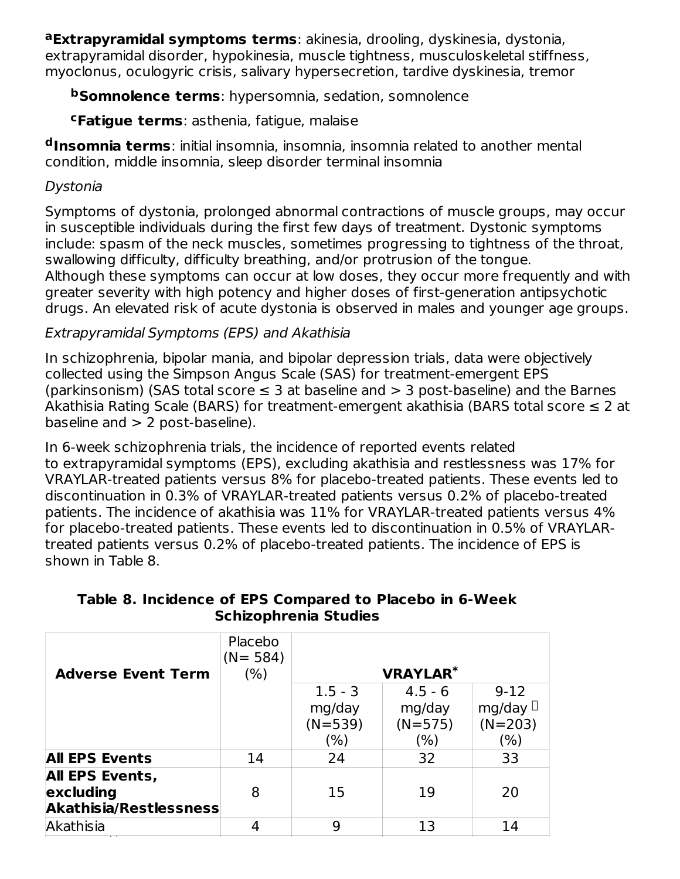**Extrapyramidal symptoms terms**: akinesia, drooling, dyskinesia, dystonia, **a** extrapyramidal disorder, hypokinesia, muscle tightness, musculoskeletal stiffness, myoclonus, oculogyric crisis, salivary hypersecretion, tardive dyskinesia, tremor

**Somnolence terms**: hypersomnia, sedation, somnolence **b**

**Fatigue terms**: asthenia, fatigue, malaise **c**

**Insomnia terms**: initial insomnia, insomnia, insomnia related to another mental **d** condition, middle insomnia, sleep disorder terminal insomnia

### Dystonia

Symptoms of dystonia, prolonged abnormal contractions of muscle groups, may occur in susceptible individuals during the first few days of treatment. Dystonic symptoms include: spasm of the neck muscles, sometimes progressing to tightness of the throat, swallowing difficulty, difficulty breathing, and/or protrusion of the tongue. Although these symptoms can occur at low doses, they occur more frequently and with greater severity with high potency and higher doses of first-generation antipsychotic drugs. An elevated risk of acute dystonia is observed in males and younger age groups.

### Extrapyramidal Symptoms (EPS) and Akathisia

In schizophrenia, bipolar mania, and bipolar depression trials, data were objectively collected using the Simpson Angus Scale (SAS) for treatment-emergent EPS (parkinsonism) (SAS total score  $\leq$  3 at baseline and  $>$  3 post-baseline) and the Barnes Akathisia Rating Scale (BARS) for treatment-emergent akathisia (BARS total score ≤ 2 at baseline and  $> 2$  post-baseline).

In 6-week schizophrenia trials, the incidence of reported events related to extrapyramidal symptoms (EPS), excluding akathisia and restlessness was 17% for VRAYLAR-treated patients versus 8% for placebo-treated patients. These events led to discontinuation in 0.3% of VRAYLAR-treated patients versus 0.2% of placebo-treated patients. The incidence of akathisia was 11% for VRAYLAR-treated patients versus 4% for placebo-treated patients. These events led to discontinuation in 0.5% of VRAYLARtreated patients versus 0.2% of placebo-treated patients. The incidence of EPS is shown in Table 8.

|  | Table 8. Incidence of EPS Compared to Placebo in 6-Week |  |  |
|--|---------------------------------------------------------|--|--|
|  | <b>Schizophrenia Studies</b>                            |  |  |

| <b>Adverse Event Term</b>     | Placebo<br>$(N = 584)$<br>(% ) |           | <b>VRAYLAR*</b> |               |
|-------------------------------|--------------------------------|-----------|-----------------|---------------|
|                               |                                |           |                 |               |
|                               |                                | $1.5 - 3$ | $4.5 - 6$       | $9 - 12$      |
|                               |                                | mg/day    | mg/day          | mg/day $\Box$ |
|                               |                                | $(N=539)$ | $(N=575)$       | $(N=203)$     |
|                               |                                | (% )      | (% )            | $(\% )$       |
| <b>All EPS Events</b>         | 14                             | 24        | 32              | 33            |
| <b>All EPS Events,</b>        |                                |           |                 |               |
| excluding                     | 8                              | 15        | 19              | 20            |
| <b>Akathisia/Restlessness</b> |                                |           |                 |               |
| Akathisia                     |                                | 9         | 13              | 14            |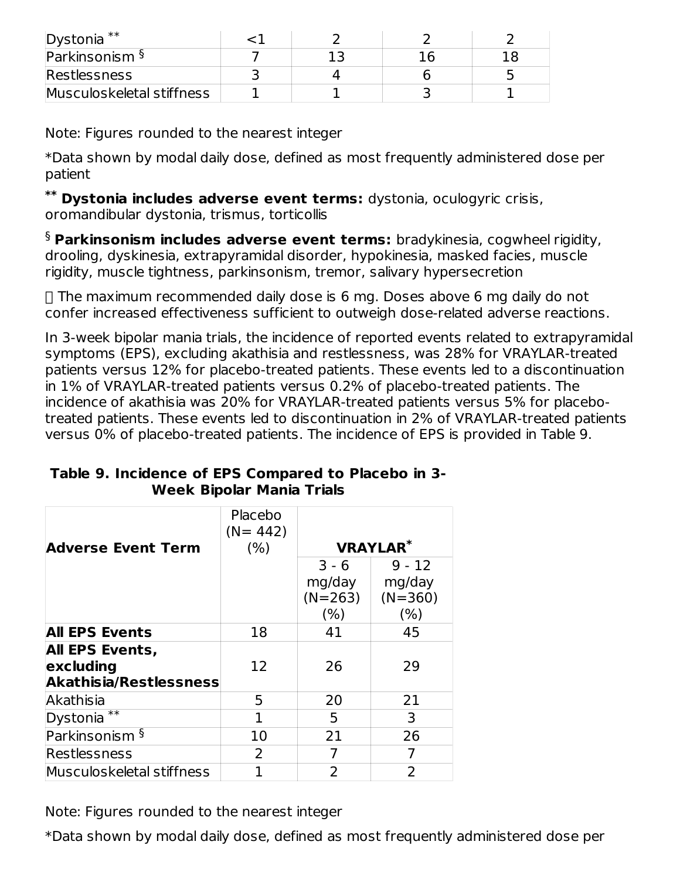| Dystonia <sup>**</sup>    |  |  |
|---------------------------|--|--|
| Parkinsonism <sup>§</sup> |  |  |
| <b>Restlessness</b>       |  |  |
| Musculoskeletal stiffness |  |  |

Note: Figures rounded to the nearest integer

\*Data shown by modal daily dose, defined as most frequently administered dose per patient

**Dystonia includes adverse event terms:** dystonia, oculogyric crisis, **\*\*** oromandibular dystonia, trismus, torticollis

**Parkinsonism includes adverse event terms:** bradykinesia, cogwheel rigidity, § drooling, dyskinesia, extrapyramidal disorder, hypokinesia, masked facies, muscle rigidity, muscle tightness, parkinsonism, tremor, salivary hypersecretion

 $\Box$  The maximum recommended daily dose is 6 mg. Doses above 6 mg daily do not confer increased effectiveness sufficient to outweigh dose-related adverse reactions.

In 3-week bipolar mania trials, the incidence of reported events related to extrapyramidal symptoms (EPS), excluding akathisia and restlessness, was 28% for VRAYLAR-treated patients versus 12% for placebo-treated patients. These events led to a discontinuation in 1% of VRAYLAR-treated patients versus 0.2% of placebo-treated patients. The incidence of akathisia was 20% for VRAYLAR-treated patients versus 5% for placebotreated patients. These events led to discontinuation in 2% of VRAYLAR-treated patients versus 0% of placebo-treated patients. The incidence of EPS is provided in Table 9.

|                               | Placebo<br>$(N = 442)$ |           |                 |  |
|-------------------------------|------------------------|-----------|-----------------|--|
| Adverse Event Term            | (% )                   |           | <b>VRAYLAR*</b> |  |
|                               |                        | $3 - 6$   | $9 - 12$        |  |
|                               |                        | mg/day    | mg/day          |  |
|                               |                        | $(N=263)$ | $(N=360)$       |  |
|                               |                        | (% )      | (% )            |  |
| <b>All EPS Events</b>         | 18                     | 41        | 45              |  |
| <b>All EPS Events,</b>        |                        |           |                 |  |
| excluding                     | 12                     | 26        | 29              |  |
| <b>Akathisia/Restlessness</b> |                        |           |                 |  |
| Akathisia                     | 5                      | 20        | 21              |  |
| Dystonia <sup>**</sup>        | 1                      | 5         | 3               |  |
| Parkinsonism §                | 10                     | 21        | 26              |  |
| Restlessness                  | 2                      |           |                 |  |
| Musculoskeletal stiffness     |                        | 2         | $\overline{2}$  |  |

#### **Table 9. Incidence of EPS Compared to Placebo in 3- Week Bipolar Mania Trials**

Note: Figures rounded to the nearest integer

\*Data shown by modal daily dose, defined as most frequently administered dose per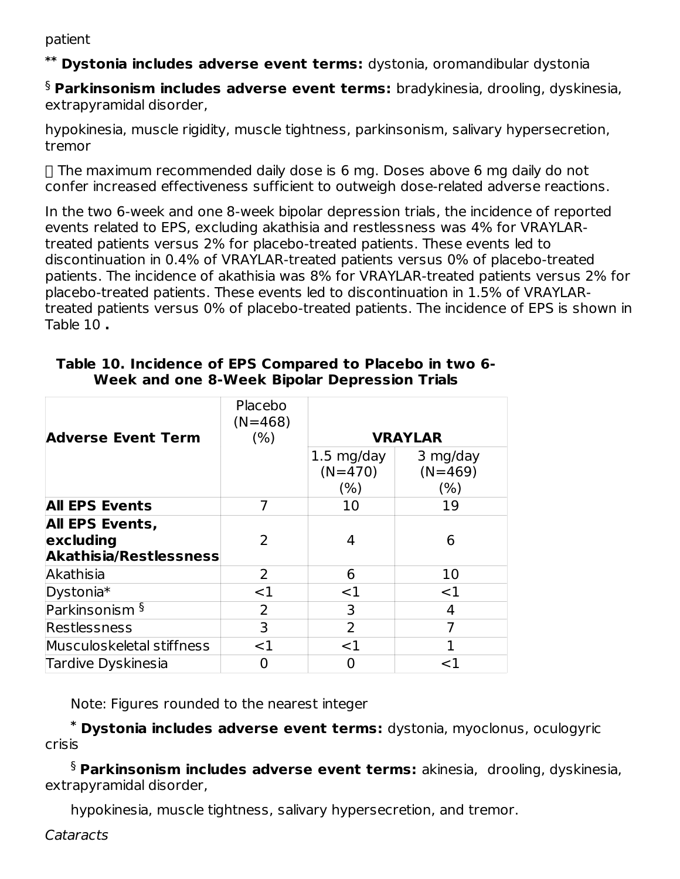patient

**Dystonia includes adverse event terms:** dystonia, oromandibular dystonia **\*\***

**Parkinsonism includes adverse event terms:** bradykinesia, drooling, dyskinesia, § extrapyramidal disorder,

hypokinesia, muscle rigidity, muscle tightness, parkinsonism, salivary hypersecretion, tremor

 $\Box$  The maximum recommended daily dose is 6 mg. Doses above 6 mg daily do not confer increased effectiveness sufficient to outweigh dose-related adverse reactions.

In the two 6-week and one 8-week bipolar depression trials, the incidence of reported events related to EPS, excluding akathisia and restlessness was 4% for VRAYLARtreated patients versus 2% for placebo-treated patients. These events led to discontinuation in 0.4% of VRAYLAR-treated patients versus 0% of placebo-treated patients. The incidence of akathisia was 8% for VRAYLAR-treated patients versus 2% for placebo-treated patients. These events led to discontinuation in 1.5% of VRAYLARtreated patients versus 0% of placebo-treated patients. The incidence of EPS is shown in Table 10 **.**

| <b>Adverse Event Term</b>     | Placebo<br>$(N=468)$<br>(% ) |                      | <b>VRAYLAR</b> |
|-------------------------------|------------------------------|----------------------|----------------|
|                               |                              |                      |                |
|                               |                              | $1.5 \text{ mg/day}$ | 3 mg/day       |
|                               |                              | $(N=470)$            | $(N=469)$      |
|                               |                              | (% )                 | (% )           |
| <b>All EPS Events</b>         |                              | 10                   | 19             |
| All EPS Events,               |                              |                      |                |
| excluding                     | $\mathcal{L}$                | 4                    | 6              |
| <b>Akathisia/Restlessness</b> |                              |                      |                |
| Akathisia                     | 2                            | 6                    | 10             |
| Dystonia*                     | $<$ 1                        | $<$ 1                | $<$ 1          |
| Parkinsonism §                | 2                            | 3                    | 4              |
| Restlessness                  | 3                            | 2                    | 7              |
| Musculoskeletal stiffness     | ${<}1$                       | $<$ 1                |                |
| Tardive Dyskinesia            |                              |                      | $<$ 1          |

#### **Table 10. Incidence of EPS Compared to Placebo in two 6- Week and one 8-Week Bipolar Depression Trials**

Note: Figures rounded to the nearest integer

**Dystonia includes adverse event terms:** dystonia, myoclonus, oculogyric **\*** crisis

**Parkinsonism includes adverse event terms:** akinesia, drooling, dyskinesia, §extrapyramidal disorder,

hypokinesia, muscle tightness, salivary hypersecretion, and tremor.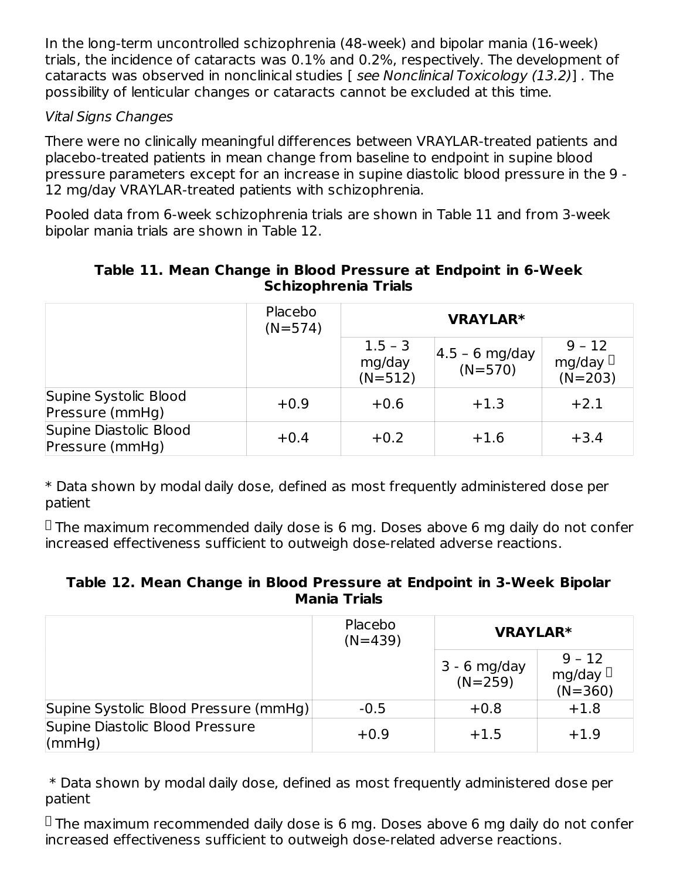In the long-term uncontrolled schizophrenia (48-week) and bipolar mania (16-week) trials, the incidence of cataracts was 0.1% and 0.2%, respectively. The development of cataracts was observed in nonclinical studies [ see Nonclinical Toxicology (13.2)] . The possibility of lenticular changes or cataracts cannot be excluded at this time.

### Vital Signs Changes

There were no clinically meaningful differences between VRAYLAR-treated patients and placebo-treated patients in mean change from baseline to endpoint in supine blood pressure parameters except for an increase in supine diastolic blood pressure in the 9 - 12 mg/day VRAYLAR-treated patients with schizophrenia.

Pooled data from 6-week schizophrenia trials are shown in Table 11 and from 3-week bipolar mania trials are shown in Table 12.

#### **Table 11. Mean Change in Blood Pressure at Endpoint in 6-Week Schizophrenia Trials**

|                                           | Placebo<br>$(N=574)$ | <b>VRAYLAR*</b>                  |                                |                                        |
|-------------------------------------------|----------------------|----------------------------------|--------------------------------|----------------------------------------|
|                                           |                      | $1.5 - 3$<br>mg/day<br>$(N=512)$ | $ 4.5 - 6$ mg/day<br>$(N=570)$ | $9 - 12$<br>mg/day $\Box$<br>$(N=203)$ |
| Supine Systolic Blood<br>Pressure (mmHg)  | $+0.9$               | $+0.6$                           | $+1.3$                         | $+2.1$                                 |
| Supine Diastolic Blood<br>Pressure (mmHg) | $+0.4$               | $+0.2$                           | $+1.6$                         | $+3.4$                                 |

\* Data shown by modal daily dose, defined as most frequently administered dose per patient

 $\Box$  The maximum recommended daily dose is 6 mg. Doses above 6 mg daily do not confer increased effectiveness sufficient to outweigh dose-related adverse reactions.

#### **Table 12. Mean Change in Blood Pressure at Endpoint in 3-Week Bipolar Mania Trials**

|                                                   | Placebo<br>$(N=439)$ | <b>VRAYLAR*</b><br>$9 - 12$<br>$3 - 6$ mg/day<br>mg/day $\Box$<br>$(N=259)$<br>$(N=360)$ |        |
|---------------------------------------------------|----------------------|------------------------------------------------------------------------------------------|--------|
|                                                   |                      |                                                                                          |        |
| Supine Systolic Blood Pressure (mmHg)             | $-0.5$               | $+0.8$                                                                                   | $+1.8$ |
| Supine Diastolic Blood Pressure<br>$\textsf{mHg}$ | $+0.9$               | $+1.5$                                                                                   | $+1.9$ |

\* Data shown by modal daily dose, defined as most frequently administered dose per patient

 $\Box$  The maximum recommended daily dose is 6 mg. Doses above 6 mg daily do not confer increased effectiveness sufficient to outweigh dose-related adverse reactions.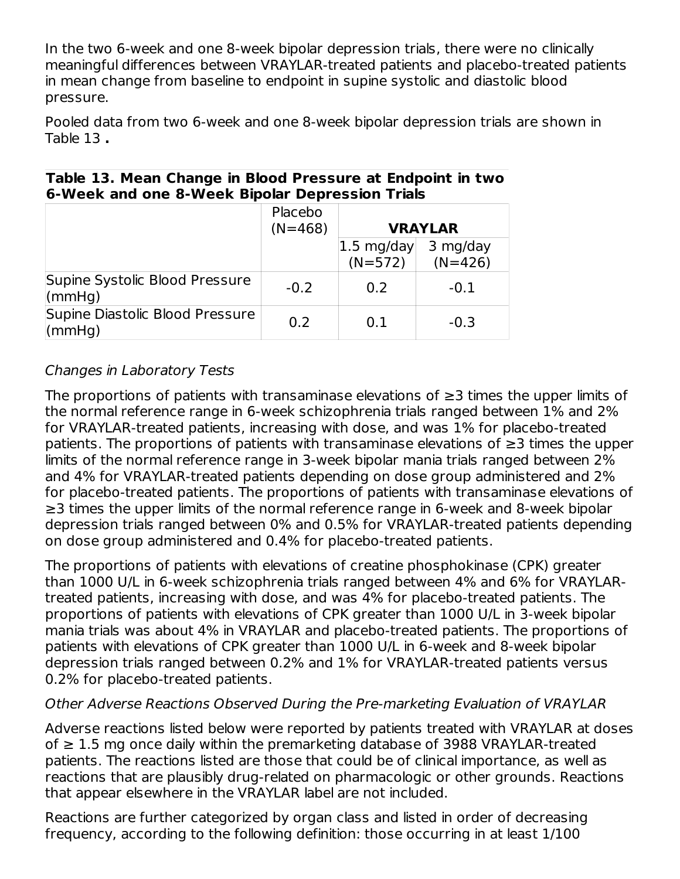In the two 6-week and one 8-week bipolar depression trials, there were no clinically meaningful differences between VRAYLAR-treated patients and placebo-treated patients in mean change from baseline to endpoint in supine systolic and diastolic blood pressure.

Pooled data from two 6-week and one 8-week bipolar depression trials are shown in Table 13 **.**

|                                                    | <u>U-MEER GIN UNE U-MEER DIPUMI DEPIESSIUII ITIMIS</u> |                                     |                       |  |  |  |
|----------------------------------------------------|--------------------------------------------------------|-------------------------------------|-----------------------|--|--|--|
|                                                    | Placebo                                                |                                     |                       |  |  |  |
|                                                    | $(N=468)$                                              |                                     | <b>VRAYLAR</b>        |  |  |  |
|                                                    |                                                        | $ 1.5 \text{ mg/day} $<br>$(N=572)$ | 3 mg/day<br>$(N=426)$ |  |  |  |
| Supine Systolic Blood Pressure<br>(mmHq)           | $-0.2$                                                 | 0.2                                 | $-0.1$                |  |  |  |
| Supine Diastolic Blood Pressure<br>$\mathsf{mmHq}$ | 0.2                                                    | 0.1                                 | $-0.3$                |  |  |  |

#### **Table 13. Mean Change in Blood Pressure at Endpoint in two 6-Week and one 8-Week Bipolar Depression Trials**

### Changes in Laboratory Tests

The proportions of patients with transaminase elevations of ≥3 times the upper limits of the normal reference range in 6-week schizophrenia trials ranged between 1% and 2% for VRAYLAR-treated patients, increasing with dose, and was 1% for placebo-treated patients. The proportions of patients with transaminase elevations of ≥3 times the upper limits of the normal reference range in 3-week bipolar mania trials ranged between 2% and 4% for VRAYLAR-treated patients depending on dose group administered and 2% for placebo-treated patients. The proportions of patients with transaminase elevations of ≥3 times the upper limits of the normal reference range in 6-week and 8-week bipolar depression trials ranged between 0% and 0.5% for VRAYLAR-treated patients depending on dose group administered and 0.4% for placebo-treated patients.

The proportions of patients with elevations of creatine phosphokinase (CPK) greater than 1000 U/L in 6-week schizophrenia trials ranged between 4% and 6% for VRAYLARtreated patients, increasing with dose, and was 4% for placebo-treated patients. The proportions of patients with elevations of CPK greater than 1000 U/L in 3-week bipolar mania trials was about 4% in VRAYLAR and placebo-treated patients. The proportions of patients with elevations of CPK greater than 1000 U/L in 6-week and 8-week bipolar depression trials ranged between 0.2% and 1% for VRAYLAR-treated patients versus 0.2% for placebo-treated patients.

### Other Adverse Reactions Observed During the Pre-marketing Evaluation of VRAYLAR

Adverse reactions listed below were reported by patients treated with VRAYLAR at doses of  $\geq$  1.5 mg once daily within the premarketing database of 3988 VRAYLAR-treated patients. The reactions listed are those that could be of clinical importance, as well as reactions that are plausibly drug-related on pharmacologic or other grounds. Reactions that appear elsewhere in the VRAYLAR label are not included.

Reactions are further categorized by organ class and listed in order of decreasing frequency, according to the following definition: those occurring in at least 1/100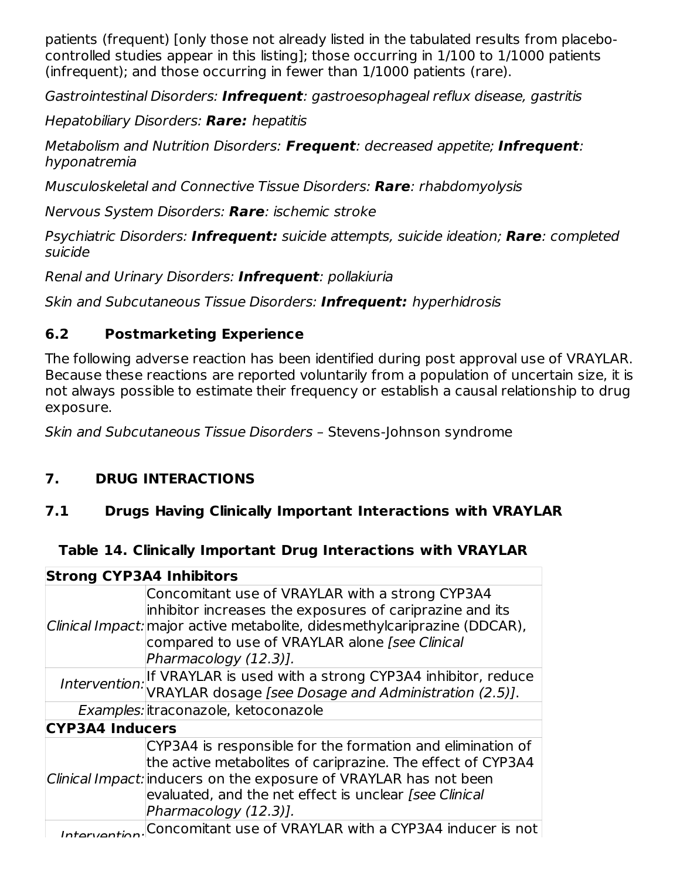patients (frequent) [only those not already listed in the tabulated results from placebocontrolled studies appear in this listing]; those occurring in 1/100 to 1/1000 patients (infrequent); and those occurring in fewer than 1/1000 patients (rare).

Gastrointestinal Disorders: **Infrequent**: gastroesophageal reflux disease, gastritis

Hepatobiliary Disorders: **Rare:** hepatitis

Metabolism and Nutrition Disorders: **Frequent**: decreased appetite; **Infrequent**: hyponatremia

Musculoskeletal and Connective Tissue Disorders: **Rare**: rhabdomyolysis

Nervous System Disorders: **Rare**: ischemic stroke

Psychiatric Disorders: **Infrequent:** suicide attempts, suicide ideation; **Rare**: completed suicide

Renal and Urinary Disorders: **Infrequent**: pollakiuria

Skin and Subcutaneous Tissue Disorders: **Infrequent:** hyperhidrosis

## **6.2 Postmarketing Experience**

The following adverse reaction has been identified during post approval use of VRAYLAR. Because these reactions are reported voluntarily from a population of uncertain size, it is not always possible to estimate their frequency or establish a causal relationship to drug exposure.

Skin and Subcutaneous Tissue Disorders – Stevens-Johnson syndrome

# **7. DRUG INTERACTIONS**

## **7.1 Drugs Having Clinically Important Interactions with VRAYLAR**

## **Table 14. Clinically Important Drug Interactions with VRAYLAR**

| <b>Strong CYP3A4 Inhibitors</b> |                                                                                                                                                                                                                                                                                   |
|---------------------------------|-----------------------------------------------------------------------------------------------------------------------------------------------------------------------------------------------------------------------------------------------------------------------------------|
|                                 | Concomitant use of VRAYLAR with a strong CYP3A4<br>inhibitor increases the exposures of cariprazine and its<br>Clinical Impact: major active metabolite, didesmethylcariprazine (DDCAR),<br>compared to use of VRAYLAR alone [see Clinical<br>Pharmacology (12.3)].               |
|                                 | Intervention: If VRAYLAR is used with a strong CYP3A4 inhibitor, reduce<br>VRAYLAR dosage [see Dosage and Administration (2.5)].                                                                                                                                                  |
|                                 | Examples: itraconazole, ketoconazole                                                                                                                                                                                                                                              |
| <b>CYP3A4 Inducers</b>          |                                                                                                                                                                                                                                                                                   |
|                                 | CYP3A4 is responsible for the formation and elimination of<br>the active metabolites of cariprazine. The effect of CYP3A4<br>Clinical Impact: inducers on the exposure of VRAYLAR has not been<br>evaluated, and the net effect is unclear [see Clinical<br>Pharmacology (12.3)]. |
|                                 | Concomitant use of VRAYLAR with a CYP3A4 inducer is not                                                                                                                                                                                                                           |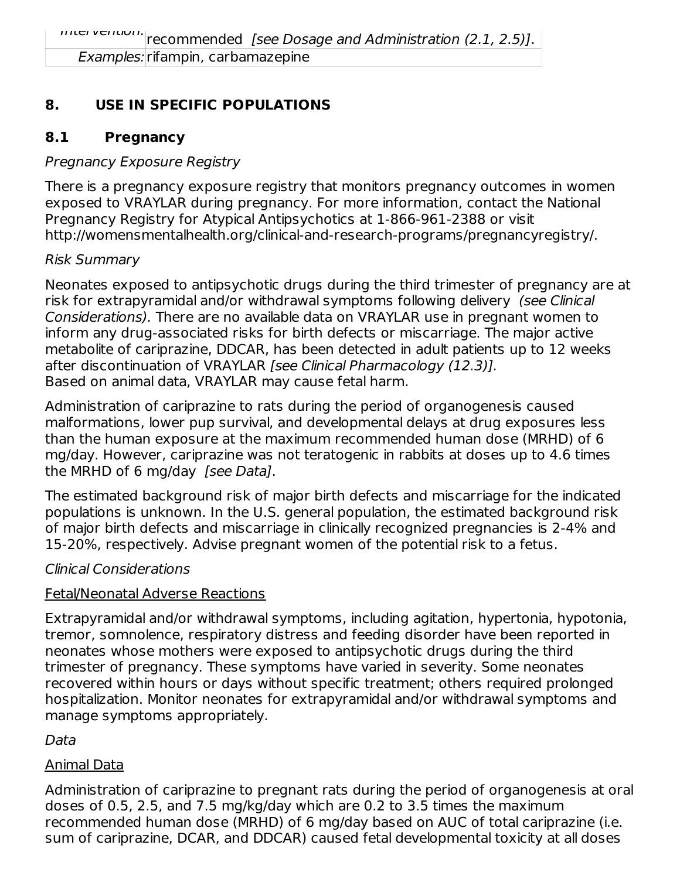Examples: rifampin, carbamazepine

## **8. USE IN SPECIFIC POPULATIONS**

## **8.1 Pregnancy**

### Pregnancy Exposure Registry

There is a pregnancy exposure registry that monitors pregnancy outcomes in women exposed to VRAYLAR during pregnancy. For more information, contact the National Pregnancy Registry for Atypical Antipsychotics at 1-866-961-2388 or visit http://womensmentalhealth.org/clinical-and-research-programs/pregnancyregistry/.

### Risk Summary

Neonates exposed to antipsychotic drugs during the third trimester of pregnancy are at risk for extrapyramidal and/or withdrawal symptoms following delivery (see Clinical Considerations). There are no available data on VRAYLAR use in pregnant women to inform any drug-associated risks for birth defects or miscarriage. The major active metabolite of cariprazine, DDCAR, has been detected in adult patients up to 12 weeks after discontinuation of VRAYLAR [see Clinical Pharmacology (12.3)]. Based on animal data, VRAYLAR may cause fetal harm.

Administration of cariprazine to rats during the period of organogenesis caused malformations, lower pup survival, and developmental delays at drug exposures less than the human exposure at the maximum recommended human dose (MRHD) of 6 mg/day. However, cariprazine was not teratogenic in rabbits at doses up to 4.6 times the MRHD of 6 mg/day [see Data].

The estimated background risk of major birth defects and miscarriage for the indicated populations is unknown. In the U.S. general population, the estimated background risk of major birth defects and miscarriage in clinically recognized pregnancies is 2-4% and 15-20%, respectively. Advise pregnant women of the potential risk to a fetus.

### Clinical Considerations

### Fetal/Neonatal Adverse Reactions

Extrapyramidal and/or withdrawal symptoms, including agitation, hypertonia, hypotonia, tremor, somnolence, respiratory distress and feeding disorder have been reported in neonates whose mothers were exposed to antipsychotic drugs during the third trimester of pregnancy. These symptoms have varied in severity. Some neonates recovered within hours or days without specific treatment; others required prolonged hospitalization. Monitor neonates for extrapyramidal and/or withdrawal symptoms and manage symptoms appropriately.

Data

### Animal Data

Administration of cariprazine to pregnant rats during the period of organogenesis at oral doses of 0.5, 2.5, and 7.5 mg/kg/day which are 0.2 to 3.5 times the maximum recommended human dose (MRHD) of 6 mg/day based on AUC of total cariprazine (i.e. sum of cariprazine, DCAR, and DDCAR) caused fetal developmental toxicity at all doses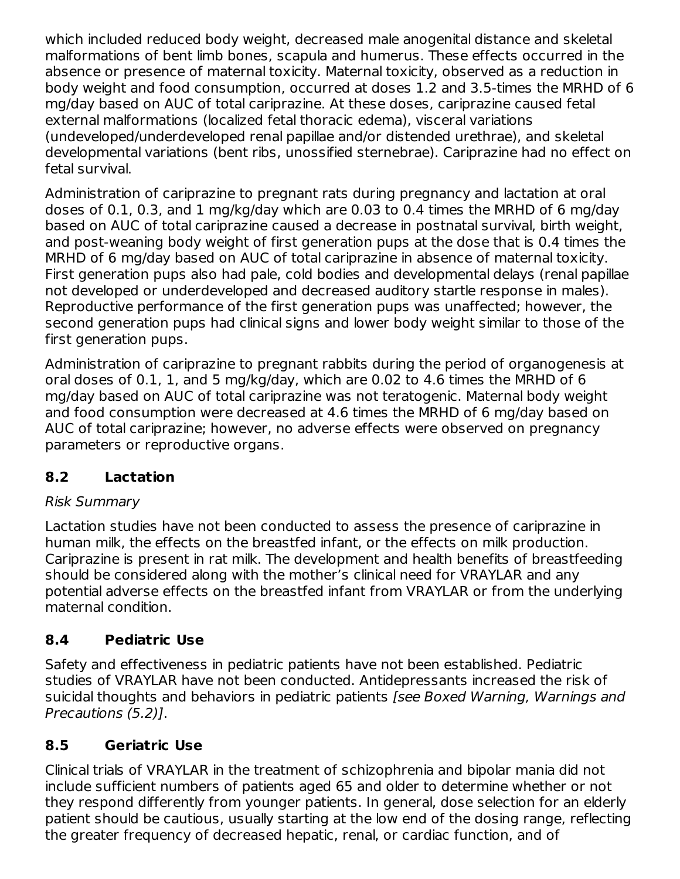which included reduced body weight, decreased male anogenital distance and skeletal malformations of bent limb bones, scapula and humerus. These effects occurred in the absence or presence of maternal toxicity. Maternal toxicity, observed as a reduction in body weight and food consumption, occurred at doses 1.2 and 3.5-times the MRHD of 6 mg/day based on AUC of total cariprazine. At these doses, cariprazine caused fetal external malformations (localized fetal thoracic edema), visceral variations (undeveloped/underdeveloped renal papillae and/or distended urethrae), and skeletal developmental variations (bent ribs, unossified sternebrae). Cariprazine had no effect on fetal survival.

Administration of cariprazine to pregnant rats during pregnancy and lactation at oral doses of 0.1, 0.3, and 1 mg/kg/day which are 0.03 to 0.4 times the MRHD of 6 mg/day based on AUC of total cariprazine caused a decrease in postnatal survival, birth weight, and post-weaning body weight of first generation pups at the dose that is 0.4 times the MRHD of 6 mg/day based on AUC of total cariprazine in absence of maternal toxicity. First generation pups also had pale, cold bodies and developmental delays (renal papillae not developed or underdeveloped and decreased auditory startle response in males). Reproductive performance of the first generation pups was unaffected; however, the second generation pups had clinical signs and lower body weight similar to those of the first generation pups.

Administration of cariprazine to pregnant rabbits during the period of organogenesis at oral doses of 0.1, 1, and 5 mg/kg/day, which are 0.02 to 4.6 times the MRHD of 6 mg/day based on AUC of total cariprazine was not teratogenic. Maternal body weight and food consumption were decreased at 4.6 times the MRHD of 6 mg/day based on AUC of total cariprazine; however, no adverse effects were observed on pregnancy parameters or reproductive organs.

### **8.2 Lactation**

### Risk Summary

Lactation studies have not been conducted to assess the presence of cariprazine in human milk, the effects on the breastfed infant, or the effects on milk production. Cariprazine is present in rat milk. The development and health benefits of breastfeeding should be considered along with the mother's clinical need for VRAYLAR and any potential adverse effects on the breastfed infant from VRAYLAR or from the underlying maternal condition.

### **8.4 Pediatric Use**

Safety and effectiveness in pediatric patients have not been established. Pediatric studies of VRAYLAR have not been conducted. Antidepressants increased the risk of suicidal thoughts and behaviors in pediatric patients [see Boxed Warning, Warnings and Precautions (5.2)].

### **8.5 Geriatric Use**

Clinical trials of VRAYLAR in the treatment of schizophrenia and bipolar mania did not include sufficient numbers of patients aged 65 and older to determine whether or not they respond differently from younger patients. In general, dose selection for an elderly patient should be cautious, usually starting at the low end of the dosing range, reflecting the greater frequency of decreased hepatic, renal, or cardiac function, and of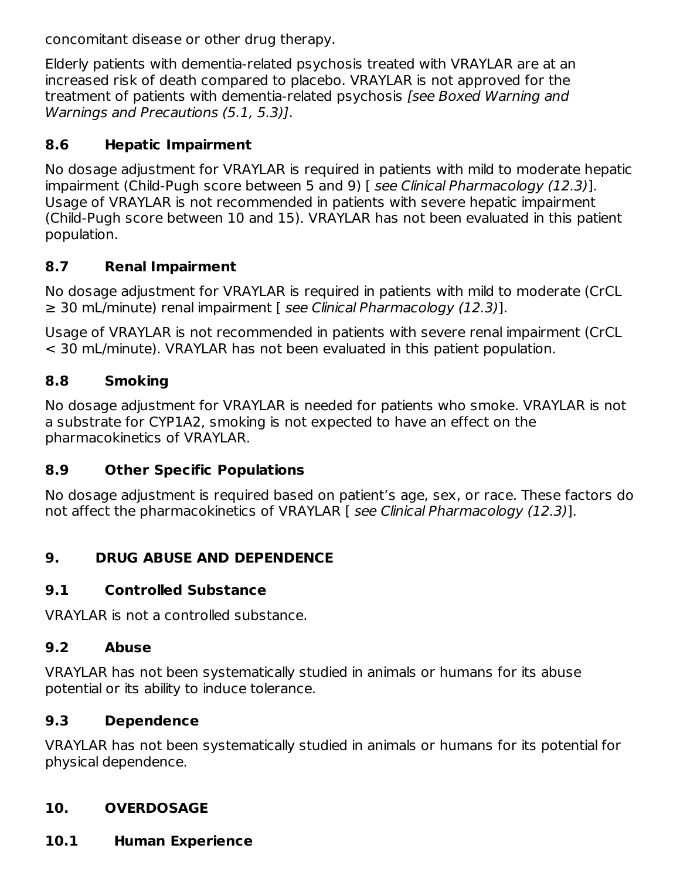concomitant disease or other drug therapy.

Elderly patients with dementia-related psychosis treated with VRAYLAR are at an increased risk of death compared to placebo. VRAYLAR is not approved for the treatment of patients with dementia-related psychosis [see Boxed Warning and Warnings and Precautions (5.1, 5.3)].

### **8.6 Hepatic Impairment**

No dosage adjustment for VRAYLAR is required in patients with mild to moderate hepatic impairment (Child-Pugh score between 5 and 9) [ see Clinical Pharmacology (12.3)]. Usage of VRAYLAR is not recommended in patients with severe hepatic impairment (Child-Pugh score between 10 and 15). VRAYLAR has not been evaluated in this patient population.

### **8.7 Renal Impairment**

No dosage adjustment for VRAYLAR is required in patients with mild to moderate (CrCL  $\geq$  30 mL/minute) renal impairment [ see Clinical Pharmacology (12.3)].

Usage of VRAYLAR is not recommended in patients with severe renal impairment (CrCL < 30 mL/minute). VRAYLAR has not been evaluated in this patient population.

### **8.8 Smoking**

No dosage adjustment for VRAYLAR is needed for patients who smoke. VRAYLAR is not a substrate for CYP1A2, smoking is not expected to have an effect on the pharmacokinetics of VRAYLAR.

### **8.9 Other Specific Populations**

No dosage adjustment is required based on patient's age, sex, or race. These factors do not affect the pharmacokinetics of VRAYLAR [ see Clinical Pharmacology (12.3)].

### **9. DRUG ABUSE AND DEPENDENCE**

#### **9.1 Controlled Substance**

VRAYLAR is not a controlled substance.

### **9.2 Abuse**

VRAYLAR has not been systematically studied in animals or humans for its abuse potential or its ability to induce tolerance.

### **9.3 Dependence**

VRAYLAR has not been systematically studied in animals or humans for its potential for physical dependence.

### **10. OVERDOSAGE**

**10.1 Human Experience**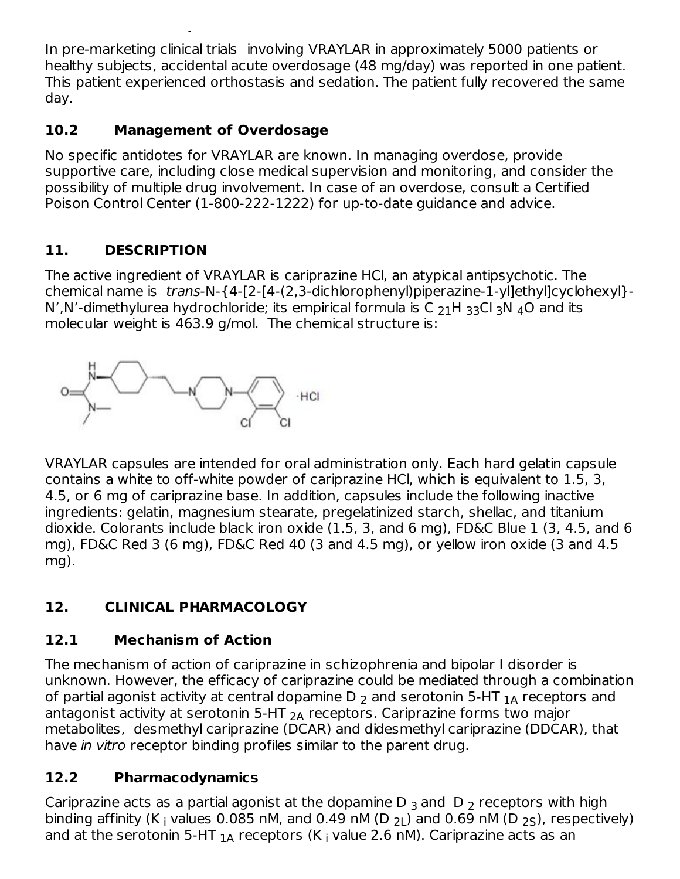In pre-marketing clinical trials involving VRAYLAR in approximately 5000 patients or healthy subjects, accidental acute overdosage (48 mg/day) was reported in one patient. This patient experienced orthostasis and sedation. The patient fully recovered the same day.

### **10.2 Management of Overdosage**

**10.1 Human Experience**

No specific antidotes for VRAYLAR are known. In managing overdose, provide supportive care, including close medical supervision and monitoring, and consider the possibility of multiple drug involvement. In case of an overdose, consult a Certified Poison Control Center (1-800-222-1222) for up-to-date guidance and advice.

## **11. DESCRIPTION**

The active ingredient of VRAYLAR is cariprazine HCl, an atypical antipsychotic. The chemical name is trans-N-{4-[2-[4-(2,3-dichlorophenyl)piperazine-1-yl]ethyl]cyclohexyl}- N',N'-dimethylurea hydrochloride; its empirical formula is C  $_{21}$ H  $_{33}$ Cl <sub>3</sub>N  $_4$ O and its molecular weight is 463.9 g/mol. The chemical structure is:



VRAYLAR capsules are intended for oral administration only. Each hard gelatin capsule contains a white to off-white powder of cariprazine HCl, which is equivalent to 1.5, 3, 4.5, or 6 mg of cariprazine base. In addition, capsules include the following inactive ingredients: gelatin, magnesium stearate, pregelatinized starch, shellac, and titanium dioxide. Colorants include black iron oxide (1.5, 3, and 6 mg), FD&C Blue 1 (3, 4.5, and 6 mg), FD&C Red 3 (6 mg), FD&C Red 40 (3 and 4.5 mg), or yellow iron oxide (3 and 4.5 mg).

# **12. CLINICAL PHARMACOLOGY**

## **12.1 Mechanism of Action**

The mechanism of action of cariprazine in schizophrenia and bipolar I disorder is unknown. However, the efficacy of cariprazine could be mediated through a combination of partial agonist activity at central dopamine D  $_2$  and serotonin 5-HT  $_{\rm 1A}$  receptors and antagonist activity at serotonin 5-HT  $_{\mathsf{2A}}$  receptors. Cariprazine forms two major metabolites, desmethyl cariprazine (DCAR) and didesmethyl cariprazine (DDCAR), that have in vitro receptor binding profiles similar to the parent drug.

### **12.2 Pharmacodynamics**

Cariprazine acts as a partial agonist at the dopamine D  $_3$  and  $\,$  D  $_2$  receptors with high binding affinity (K<sub>i</sub> values 0.085 nM, and 0.49 nM (D <sub>2L</sub>) and 0.69 nM (D <sub>2S</sub>), respectively) and at the serotonin 5-HT  $_{\rm 1A}$  receptors (K  $_{\rm i}$  value 2.6 nM). Cariprazine acts as an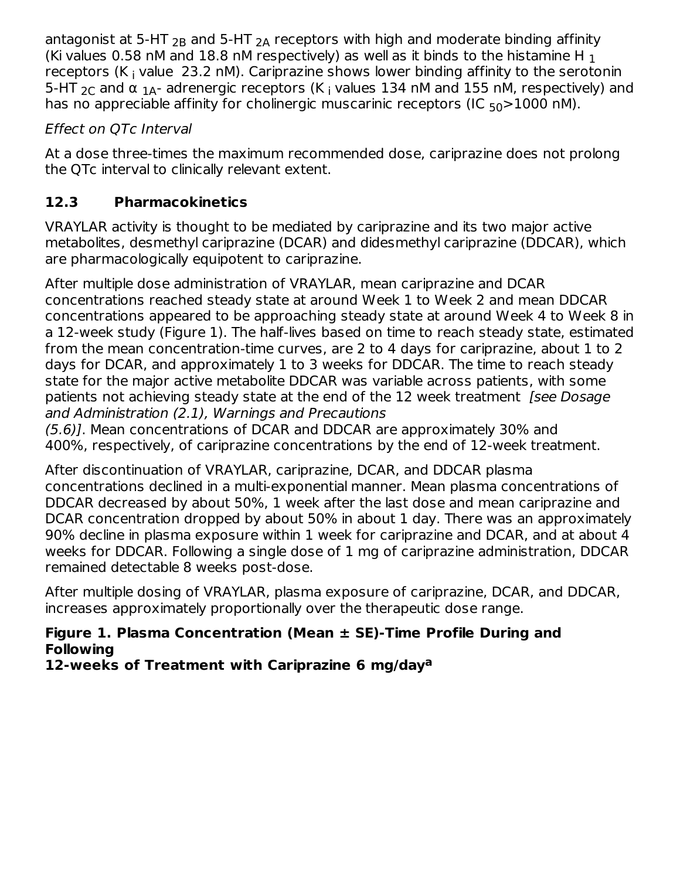antagonist at 5-HT  $_{2B}$  and 5-HT  $_{2A}$  receptors with high and moderate binding affinity (Ki values 0.58 nM and 18.8 nM respectively) as well as it binds to the histamine H  $_{\rm 1}$ receptors (K<sub>i</sub> value 23.2 nM). Cariprazine shows lower binding affinity to the serotonin 5-HT  $_{2C}$  and α  $_{1A}$ - adrenergic receptors (K  $_{\rm i}$  values 134 nM and 155 nM, respectively) and has no appreciable affinity for cholinergic muscarinic receptors (IC <sub>50</sub>>1000 nM).  $2B$  and 5-HT  $2A$ 

### Effect on QTc Interval

At a dose three-times the maximum recommended dose, cariprazine does not prolong the QTc interval to clinically relevant extent.

## **12.3 Pharmacokinetics**

VRAYLAR activity is thought to be mediated by cariprazine and its two major active metabolites, desmethyl cariprazine (DCAR) and didesmethyl cariprazine (DDCAR), which are pharmacologically equipotent to cariprazine.

After multiple dose administration of VRAYLAR, mean cariprazine and DCAR concentrations reached steady state at around Week 1 to Week 2 and mean DDCAR concentrations appeared to be approaching steady state at around Week 4 to Week 8 in a 12-week study (Figure 1). The half-lives based on time to reach steady state, estimated from the mean concentration-time curves, are 2 to 4 days for cariprazine, about 1 to 2 days for DCAR, and approximately 1 to 3 weeks for DDCAR. The time to reach steady state for the major active metabolite DDCAR was variable across patients, with some patients not achieving steady state at the end of the 12 week treatment *[see Dosage* and Administration (2.1), Warnings and Precautions

(5.6)]. Mean concentrations of DCAR and DDCAR are approximately 30% and 400%, respectively, of cariprazine concentrations by the end of 12-week treatment.

After discontinuation of VRAYLAR, cariprazine, DCAR, and DDCAR plasma concentrations declined in a multi-exponential manner. Mean plasma concentrations of DDCAR decreased by about 50%, 1 week after the last dose and mean cariprazine and DCAR concentration dropped by about 50% in about 1 day. There was an approximately 90% decline in plasma exposure within 1 week for cariprazine and DCAR, and at about 4 weeks for DDCAR. Following a single dose of 1 mg of cariprazine administration, DDCAR remained detectable 8 weeks post-dose.

After multiple dosing of VRAYLAR, plasma exposure of cariprazine, DCAR, and DDCAR, increases approximately proportionally over the therapeutic dose range.

### **Figure 1. Plasma Concentration (Mean ± SE)-Time Profile During and Following**

**12-weeks of Treatment with Cariprazine 6 mg/day a**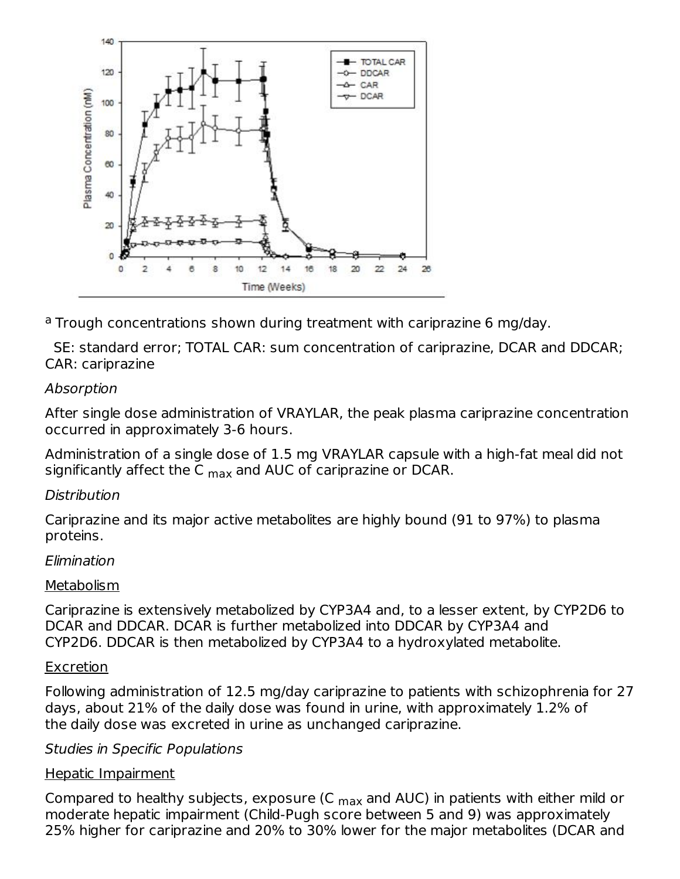

<sup>a</sup> Trough concentrations shown during treatment with cariprazine 6 mg/day.

SE: standard error; TOTAL CAR: sum concentration of cariprazine, DCAR and DDCAR; CAR: cariprazine

### Absorption

After single dose administration of VRAYLAR, the peak plasma cariprazine concentration occurred in approximately 3-6 hours.

Administration of a single dose of 1.5 mg VRAYLAR capsule with a high-fat meal did not significantly affect the C <sub>max</sub> and AUC of cariprazine or DCAR.

#### Distribution

Cariprazine and its major active metabolites are highly bound (91 to 97%) to plasma proteins.

#### Elimination

#### Metabolism

Cariprazine is extensively metabolized by CYP3A4 and, to a lesser extent, by CYP2D6 to DCAR and DDCAR. DCAR is further metabolized into DDCAR by CYP3A4 and CYP2D6. DDCAR is then metabolized by CYP3A4 to a hydroxylated metabolite.

#### **Excretion**

Following administration of 12.5 mg/day cariprazine to patients with schizophrenia for 27 days, about 21% of the daily dose was found in urine, with approximately 1.2% of the daily dose was excreted in urine as unchanged cariprazine.

#### Studies in Specific Populations

#### Hepatic Impairment

Compared to healthy subjects, exposure (C  $_{\sf max}$  and AUC) in patients with either mild or moderate hepatic impairment (Child-Pugh score between 5 and 9) was approximately 25% higher for cariprazine and 20% to 30% lower for the major metabolites (DCAR and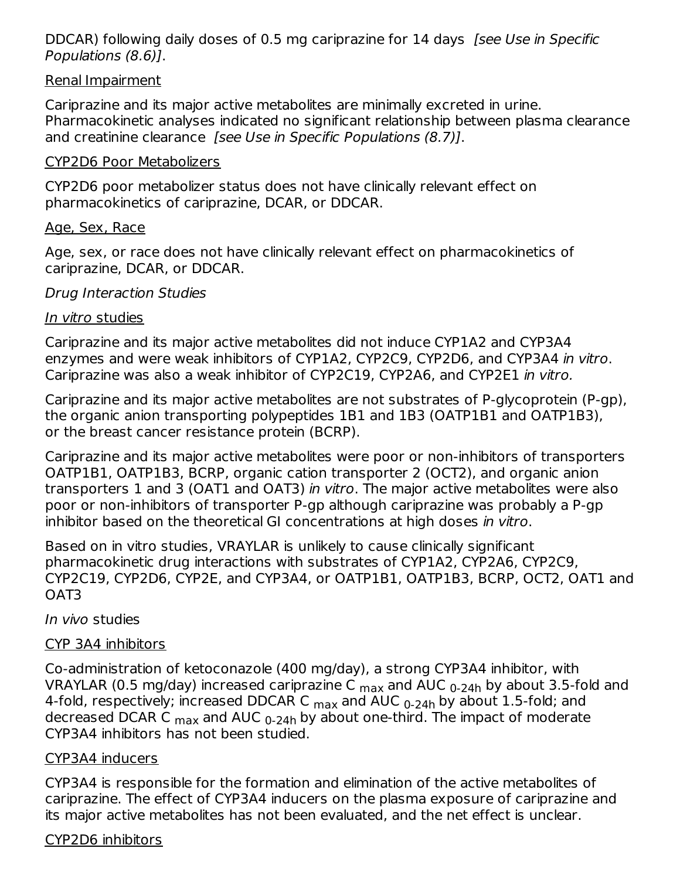DDCAR) following daily doses of 0.5 mg cariprazine for 14 days *[see Use in Specific* Populations (8.6)].

#### Renal Impairment

Cariprazine and its major active metabolites are minimally excreted in urine. Pharmacokinetic analyses indicated no significant relationship between plasma clearance and creatinine clearance [see Use in Specific Populations (8.7)].

#### CYP2D6 Poor Metabolizers

CYP2D6 poor metabolizer status does not have clinically relevant effect on pharmacokinetics of cariprazine, DCAR, or DDCAR.

#### Age, Sex, Race

Age, sex, or race does not have clinically relevant effect on pharmacokinetics of cariprazine, DCAR, or DDCAR.

#### Drug Interaction Studies

#### In vitro studies

Cariprazine and its major active metabolites did not induce CYP1A2 and CYP3A4 enzymes and were weak inhibitors of CYP1A2, CYP2C9, CYP2D6, and CYP3A4 in vitro. Cariprazine was also a weak inhibitor of CYP2C19, CYP2A6, and CYP2E1 in vitro.

Cariprazine and its major active metabolites are not substrates of P-glycoprotein (P-gp), the organic anion transporting polypeptides 1B1 and 1B3 (OATP1B1 and OATP1B3), or the breast cancer resistance protein (BCRP).

Cariprazine and its major active metabolites were poor or non-inhibitors of transporters OATP1B1, OATP1B3, BCRP, organic cation transporter 2 (OCT2), and organic anion transporters 1 and 3 (OAT1 and OAT3) in vitro. The major active metabolites were also poor or non-inhibitors of transporter P-gp although cariprazine was probably a P-gp inhibitor based on the theoretical GI concentrations at high doses in vitro.

Based on in vitro studies, VRAYLAR is unlikely to cause clinically significant pharmacokinetic drug interactions with substrates of CYP1A2, CYP2A6, CYP2C9, CYP2C19, CYP2D6, CYP2E, and CYP3A4, or OATP1B1, OATP1B3, BCRP, OCT2, OAT1 and OAT3

#### In vivo studies

#### CYP 3A4 inhibitors

Co-administration of ketoconazole (400 mg/day), a strong CYP3A4 inhibitor, with VRAYLAR (0.5 mg/day) increased cariprazine C  $_{\sf max}$  and AUC  $_{\sf 0\text{-}24h}$  by about 3.5-fold and 4-fold, respectively; increased DDCAR C <sub>max</sub> and AUC <sub>0-24h</sub> by about 1.5-fold; and decreased DCAR C <sub>max</sub> and AUC <sub>0-24h</sub> by about one-third. The impact of moderate CYP3A4 inhibitors has not been studied.

#### CYP3A4 inducers

CYP3A4 is responsible for the formation and elimination of the active metabolites of cariprazine. The effect of CYP3A4 inducers on the plasma exposure of cariprazine and its major active metabolites has not been evaluated, and the net effect is unclear.

#### CYP2D6 inhibitors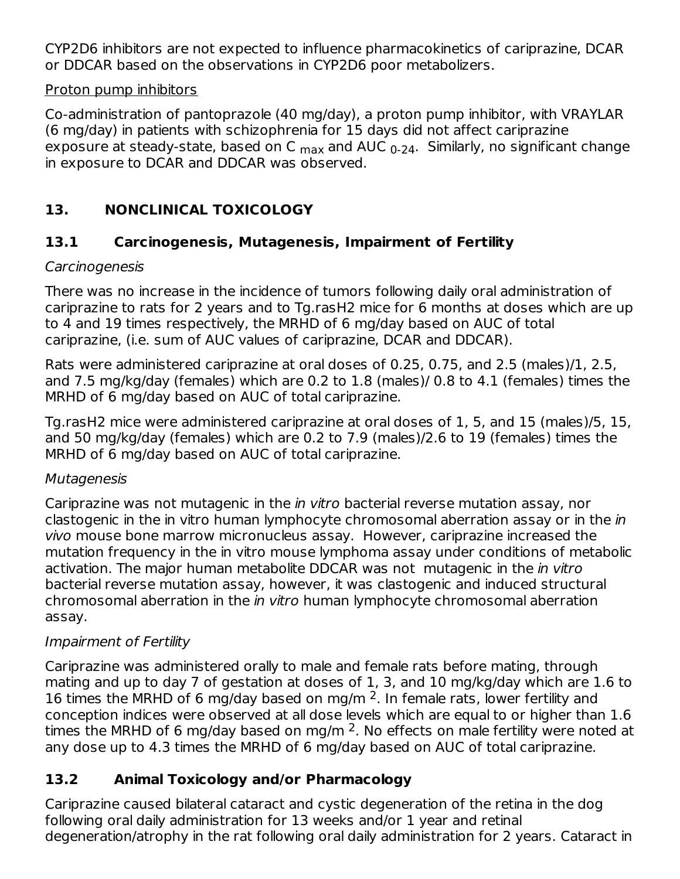CYP2D6 inhibitors are not expected to influence pharmacokinetics of cariprazine, DCAR or DDCAR based on the observations in CYP2D6 poor metabolizers.

#### Proton pump inhibitors

Co-administration of pantoprazole (40 mg/day), a proton pump inhibitor, with VRAYLAR (6 mg/day) in patients with schizophrenia for 15 days did not affect cariprazine exposure at steady-state, based on C <sub>max</sub> and AUC <sub>0-24</sub>. Similarly, no significant change in exposure to DCAR and DDCAR was observed.

## **13. NONCLINICAL TOXICOLOGY**

### **13.1 Carcinogenesis, Mutagenesis, Impairment of Fertility**

#### Carcinogenesis

There was no increase in the incidence of tumors following daily oral administration of cariprazine to rats for 2 years and to Tg.rasH2 mice for 6 months at doses which are up to 4 and 19 times respectively, the MRHD of 6 mg/day based on AUC of total cariprazine, (i.e. sum of AUC values of cariprazine, DCAR and DDCAR).

Rats were administered cariprazine at oral doses of 0.25, 0.75, and 2.5 (males)/1, 2.5, and 7.5 mg/kg/day (females) which are 0.2 to 1.8 (males)/ 0.8 to 4.1 (females) times the MRHD of 6 mg/day based on AUC of total cariprazine.

Tg.rasH2 mice were administered cariprazine at oral doses of 1, 5, and 15 (males)/5, 15, and 50 mg/kg/day (females) which are 0.2 to 7.9 (males)/2.6 to 19 (females) times the MRHD of 6 mg/day based on AUC of total cariprazine.

### **Mutagenesis**

Cariprazine was not mutagenic in the in vitro bacterial reverse mutation assay, nor clastogenic in the in vitro human lymphocyte chromosomal aberration assay or in the *in* vivo mouse bone marrow micronucleus assay. However, cariprazine increased the mutation frequency in the in vitro mouse lymphoma assay under conditions of metabolic activation. The major human metabolite DDCAR was not mutagenic in the *in vitro* bacterial reverse mutation assay, however, it was clastogenic and induced structural chromosomal aberration in the in vitro human lymphocyte chromosomal aberration assay.

### Impairment of Fertility

Cariprazine was administered orally to male and female rats before mating, through mating and up to day 7 of gestation at doses of 1, 3, and 10 mg/kg/day which are 1.6 to 16 times the MRHD of 6 mg/day based on mg/m  $2$ . In female rats, lower fertility and conception indices were observed at all dose levels which are equal to or higher than 1.6 times the MRHD of 6 mg/day based on mg/m <sup>2</sup>. No effects on male fertility were noted at any dose up to 4.3 times the MRHD of 6 mg/day based on AUC of total cariprazine.

### **13.2 Animal Toxicology and/or Pharmacology**

Cariprazine caused bilateral cataract and cystic degeneration of the retina in the dog following oral daily administration for 13 weeks and/or 1 year and retinal degeneration/atrophy in the rat following oral daily administration for 2 years. Cataract in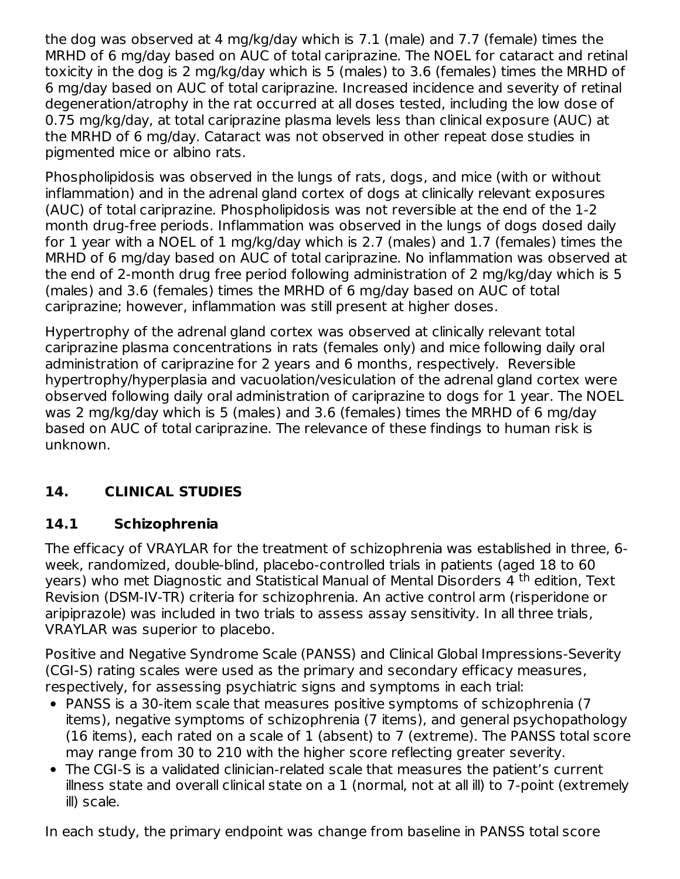the dog was observed at 4 mg/kg/day which is 7.1 (male) and 7.7 (female) times the MRHD of 6 mg/day based on AUC of total cariprazine. The NOEL for cataract and retinal toxicity in the dog is 2 mg/kg/day which is 5 (males) to 3.6 (females) times the MRHD of 6 mg/day based on AUC of total cariprazine. Increased incidence and severity of retinal degeneration/atrophy in the rat occurred at all doses tested, including the low dose of 0.75 mg/kg/day, at total cariprazine plasma levels less than clinical exposure (AUC) at the MRHD of 6 mg/day. Cataract was not observed in other repeat dose studies in pigmented mice or albino rats.

Phospholipidosis was observed in the lungs of rats, dogs, and mice (with or without inflammation) and in the adrenal gland cortex of dogs at clinically relevant exposures (AUC) of total cariprazine. Phospholipidosis was not reversible at the end of the 1-2 month drug-free periods. Inflammation was observed in the lungs of dogs dosed daily for 1 year with a NOEL of 1 mg/kg/day which is 2.7 (males) and 1.7 (females) times the MRHD of 6 mg/day based on AUC of total cariprazine. No inflammation was observed at the end of 2-month drug free period following administration of 2 mg/kg/day which is 5 (males) and 3.6 (females) times the MRHD of 6 mg/day based on AUC of total cariprazine; however, inflammation was still present at higher doses.

Hypertrophy of the adrenal gland cortex was observed at clinically relevant total cariprazine plasma concentrations in rats (females only) and mice following daily oral administration of cariprazine for 2 years and 6 months, respectively. Reversible hypertrophy/hyperplasia and vacuolation/vesiculation of the adrenal gland cortex were observed following daily oral administration of cariprazine to dogs for 1 year. The NOEL was 2 mg/kg/day which is 5 (males) and 3.6 (females) times the MRHD of 6 mg/day based on AUC of total cariprazine. The relevance of these findings to human risk is unknown.

## **14. CLINICAL STUDIES**

### **14.1 Schizophrenia**

The efficacy of VRAYLAR for the treatment of schizophrenia was established in three, 6 week, randomized, double-blind, placebo-controlled trials in patients (aged 18 to 60 years) who met Diagnostic and Statistical Manual of Mental Disorders 4 <sup>th</sup> edition, Text Revision (DSM-IV-TR) criteria for schizophrenia. An active control arm (risperidone or aripiprazole) was included in two trials to assess assay sensitivity. In all three trials, VRAYLAR was superior to placebo.

Positive and Negative Syndrome Scale (PANSS) and Clinical Global Impressions-Severity (CGI-S) rating scales were used as the primary and secondary efficacy measures, respectively, for assessing psychiatric signs and symptoms in each trial:

- PANSS is a 30-item scale that measures positive symptoms of schizophrenia (7 items), negative symptoms of schizophrenia (7 items), and general psychopathology (16 items), each rated on a scale of 1 (absent) to 7 (extreme). The PANSS total score may range from 30 to 210 with the higher score reflecting greater severity.
- The CGI-S is a validated clinician-related scale that measures the patient's current illness state and overall clinical state on a 1 (normal, not at all ill) to 7-point (extremely ill) scale.

In each study, the primary endpoint was change from baseline in PANSS total score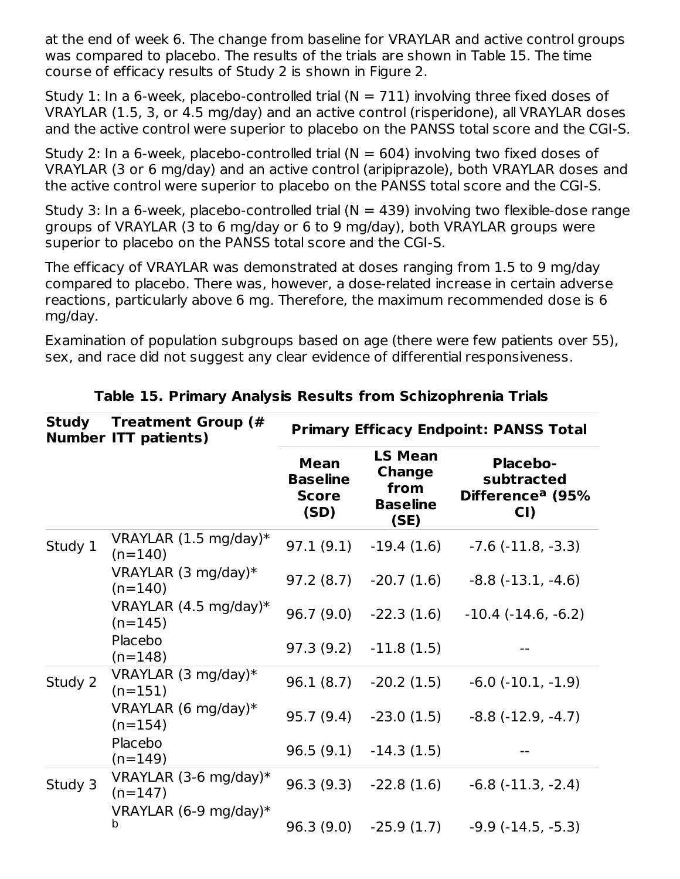at the end of week 6. The change from baseline for VRAYLAR and active control groups was compared to placebo. The results of the trials are shown in Table 15. The time course of efficacy results of Study 2 is shown in Figure 2.

Study 1: In a 6-week, placebo-controlled trial  $(N = 711)$  involving three fixed doses of VRAYLAR (1.5, 3, or 4.5 mg/day) and an active control (risperidone), all VRAYLAR doses and the active control were superior to placebo on the PANSS total score and the CGI-S.

Study 2: In a 6-week, placebo-controlled trial  $(N = 604)$  involving two fixed doses of VRAYLAR (3 or 6 mg/day) and an active control (aripiprazole), both VRAYLAR doses and the active control were superior to placebo on the PANSS total score and the CGI-S.

Study 3: In a 6-week, placebo-controlled trial ( $N = 439$ ) involving two flexible-dose range groups of VRAYLAR (3 to 6 mg/day or 6 to 9 mg/day), both VRAYLAR groups were superior to placebo on the PANSS total score and the CGI-S.

The efficacy of VRAYLAR was demonstrated at doses ranging from 1.5 to 9 mg/day compared to placebo. There was, however, a dose-related increase in certain adverse reactions, particularly above 6 mg. Therefore, the maximum recommended dose is 6 mg/day.

Examination of population subgroups based on age (there were few patients over 55), sex, and race did not suggest any clear evidence of differential responsiveness.

| <b>Study</b> | <b>Treatment Group (#</b><br><b>Number ITT patients)</b> | <b>Primary Efficacy Endpoint: PANSS Total</b>          |                                                                    |                                                                      |  |  |
|--------------|----------------------------------------------------------|--------------------------------------------------------|--------------------------------------------------------------------|----------------------------------------------------------------------|--|--|
|              |                                                          | <b>Mean</b><br><b>Baseline</b><br><b>Score</b><br>(SD) | <b>LS Mean</b><br><b>Change</b><br>from<br><b>Baseline</b><br>(SE) | <b>Placebo-</b><br>subtracted<br>Difference <sup>a</sup> (95%<br>CI) |  |  |
| Study 1      | VRAYLAR $(1.5 \text{ mg/day})^*$<br>$(n=140)$            | 97.1(9.1)                                              | $-19.4(1.6)$                                                       | $-7.6$ ( $-11.8$ , $-3.3$ )                                          |  |  |
|              | VRAYLAR $(3 \text{ mg/day})^*$<br>$(n=140)$              | 97.2(8.7)                                              | $-20.7(1.6)$                                                       | $-8.8$ $(-13.1, -4.6)$                                               |  |  |
|              | VRAYLAR $(4.5 \text{ mg/day})^*$<br>$(n=145)$            | 96.7(9.0)                                              | $-22.3(1.6)$                                                       | $-10.4$ $(-14.6, -6.2)$                                              |  |  |
|              | Placebo<br>$(n=148)$                                     | 97.3(9.2)                                              | $-11.8(1.5)$                                                       |                                                                      |  |  |
| Study 2      | VRAYLAR $(3 \text{ mg/day})^*$<br>$(n=151)$              | 96.1(8.7)                                              | $-20.2(1.5)$                                                       | $-6.0$ $(-10.1, -1.9)$                                               |  |  |
|              | VRAYLAR $(6 \text{ mg/day})^*$<br>$(n=154)$              | 95.7(9.4)                                              | $-23.0(1.5)$                                                       | $-8.8$ $(-12.9, -4.7)$                                               |  |  |
|              | Placebo<br>$(n=149)$                                     | 96.5(9.1)                                              | $-14.3(1.5)$                                                       |                                                                      |  |  |
| Study 3      | VRAYLAR (3-6 mg/day)*<br>$(n=147)$                       | 96.3(9.3)                                              | $-22.8(1.6)$                                                       | $-6.8$ $(-11.3, -2.4)$                                               |  |  |
|              | VRAYLAR $(6-9 \text{ mg/day})^*$<br>b                    | 96.3(9.0)                                              | $-25.9(1.7)$                                                       | $-9.9$ $(-14.5, -5.3)$                                               |  |  |

#### **Table 15. Primary Analysis Results from Schizophrenia Trials**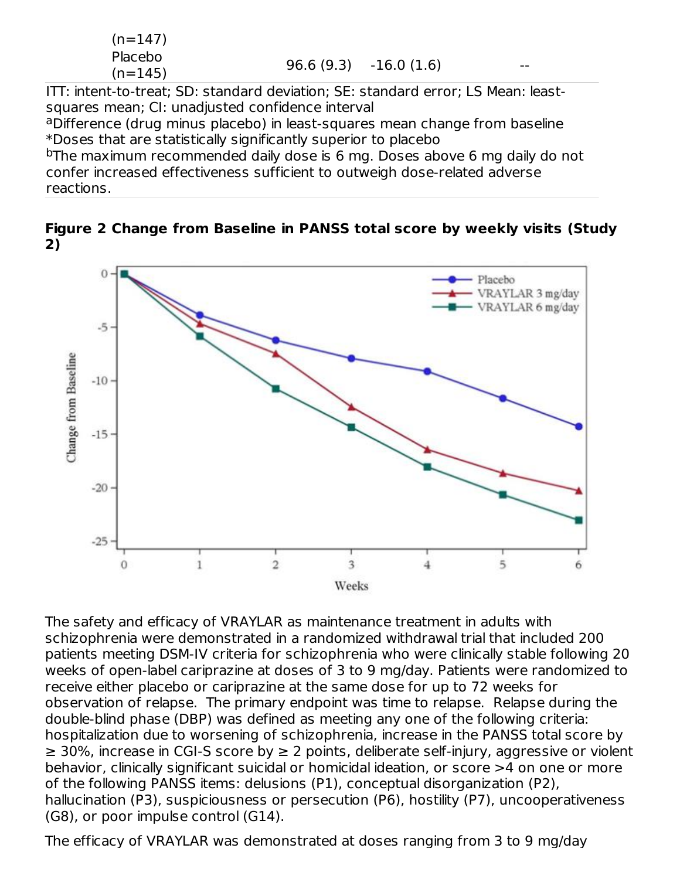$$
(n=147)
$$
Placebo  
(n=145) 96.6 (9.3) -16.0 (1.6) --

ITT: intent-to-treat; SD: standard deviation; SE: standard error; LS Mean: leastsquares mean; CI: unadjusted confidence interval

aDifference (drug minus placebo) in least-squares mean change from baseline \*Doses that are statistically significantly superior to placebo

<sup>b</sup>The maximum recommended daily dose is 6 mg. Doses above 6 mg daily do not confer increased effectiveness sufficient to outweigh dose-related adverse reactions.

**Figure 2 Change from Baseline in PANSS total score by weekly visits (Study 2)**



The safety and efficacy of VRAYLAR as maintenance treatment in adults with schizophrenia were demonstrated in a randomized withdrawal trial that included 200 patients meeting DSM-IV criteria for schizophrenia who were clinically stable following 20 weeks of open-label cariprazine at doses of 3 to 9 mg/day. Patients were randomized to receive either placebo or cariprazine at the same dose for up to 72 weeks for observation of relapse. The primary endpoint was time to relapse. Relapse during the double-blind phase (DBP) was defined as meeting any one of the following criteria: hospitalization due to worsening of schizophrenia, increase in the PANSS total score by ≥ 30%, increase in CGI-S score by ≥ 2 points, deliberate self-injury, aggressive or violent behavior, clinically significant suicidal or homicidal ideation, or score >4 on one or more of the following PANSS items: delusions (P1), conceptual disorganization (P2), hallucination (P3), suspiciousness or persecution (P6), hostility (P7), uncooperativeness (G8), or poor impulse control (G14).

The efficacy of VRAYLAR was demonstrated at doses ranging from 3 to 9 mg/day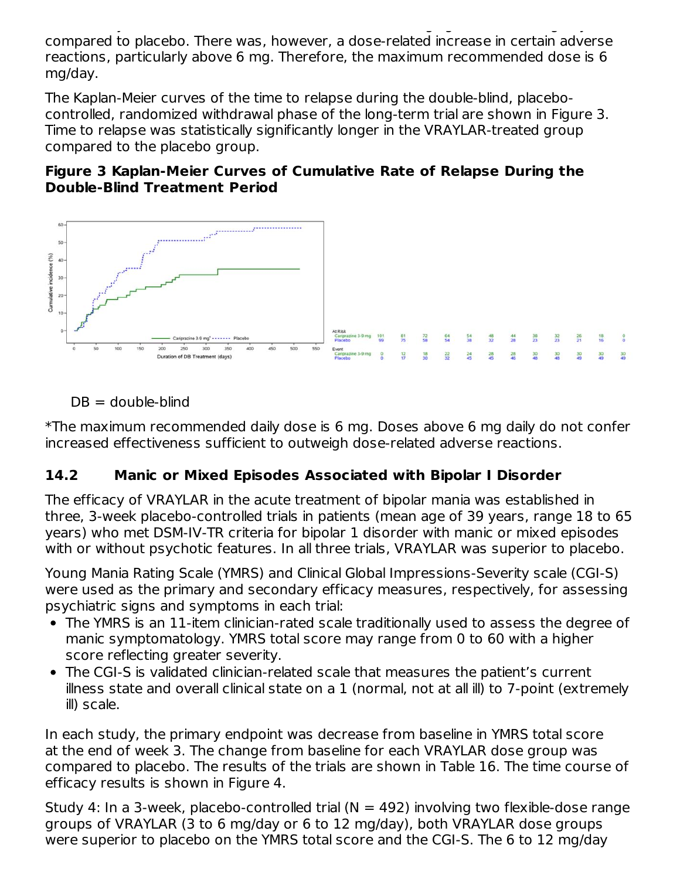The efficacy of VRAYLAR was demonstrated at doses ranging from 3 to 9 mg/day compared to placebo. There was, however, a dose-related increase in certain adverse reactions, particularly above 6 mg. Therefore, the maximum recommended dose is 6 mg/day.

The Kaplan-Meier curves of the time to relapse during the double-blind, placebocontrolled, randomized withdrawal phase of the long-term trial are shown in Figure 3. Time to relapse was statistically significantly longer in the VRAYLAR-treated group compared to the placebo group.

#### **Figure 3 Kaplan-Meier Curves of Cumulative Rate of Relapse During the Double-Blind Treatment Period**



 $DB =$  double-blind

\*The maximum recommended daily dose is 6 mg. Doses above 6 mg daily do not confer increased effectiveness sufficient to outweigh dose-related adverse reactions.

### **14.2 Manic or Mixed Episodes Associated with Bipolar I Disorder**

The efficacy of VRAYLAR in the acute treatment of bipolar mania was established in three, 3-week placebo-controlled trials in patients (mean age of 39 years, range 18 to 65 years) who met DSM-IV-TR criteria for bipolar 1 disorder with manic or mixed episodes with or without psychotic features. In all three trials, VRAYLAR was superior to placebo.

Young Mania Rating Scale (YMRS) and Clinical Global Impressions-Severity scale (CGI-S) were used as the primary and secondary efficacy measures, respectively, for assessing psychiatric signs and symptoms in each trial:

- The YMRS is an 11-item clinician-rated scale traditionally used to assess the degree of manic symptomatology. YMRS total score may range from 0 to 60 with a higher score reflecting greater severity.
- The CGI-S is validated clinician-related scale that measures the patient's current illness state and overall clinical state on a 1 (normal, not at all ill) to 7-point (extremely ill) scale.

In each study, the primary endpoint was decrease from baseline in YMRS total score at the end of week 3. The change from baseline for each VRAYLAR dose group was compared to placebo. The results of the trials are shown in Table 16. The time course of efficacy results is shown in Figure 4.

Study 4: In a 3-week, placebo-controlled trial ( $N = 492$ ) involving two flexible-dose range groups of VRAYLAR (3 to 6 mg/day or 6 to 12 mg/day), both VRAYLAR dose groups were superior to placebo on the YMRS total score and the CGI-S. The 6 to 12 mg/day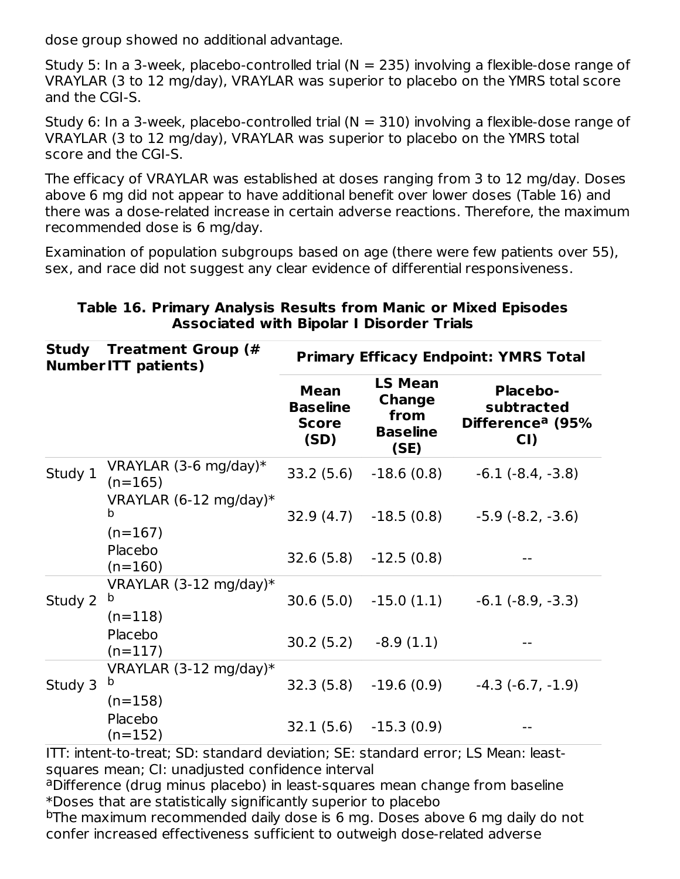dose group showed no additional advantage.

Study 5: In a 3-week, placebo-controlled trial ( $N = 235$ ) involving a flexible-dose range of VRAYLAR (3 to 12 mg/day), VRAYLAR was superior to placebo on the YMRS total score and the CGI-S.

Study 6: In a 3-week, placebo-controlled trial  $(N = 310)$  involving a flexible-dose range of VRAYLAR (3 to 12 mg/day), VRAYLAR was superior to placebo on the YMRS total score and the CGI-S.

The efficacy of VRAYLAR was established at doses ranging from 3 to 12 mg/day. Doses above 6 mg did not appear to have additional benefit over lower doses (Table 16) and there was a dose-related increase in certain adverse reactions. Therefore, the maximum recommended dose is 6 mg/day.

Examination of population subgroups based on age (there were few patients over 55), sex, and race did not suggest any clear evidence of differential responsiveness.

| Study   | <b>Treatment Group (#</b><br><b>NumberITT patients)</b> |                                                        |                                                                    | <b>Primary Efficacy Endpoint: YMRS Total</b>                         |  |  |  |
|---------|---------------------------------------------------------|--------------------------------------------------------|--------------------------------------------------------------------|----------------------------------------------------------------------|--|--|--|
|         |                                                         | <b>Mean</b><br><b>Baseline</b><br><b>Score</b><br>(SD) | <b>LS Mean</b><br><b>Change</b><br>from<br><b>Baseline</b><br>(SE) | <b>Placebo-</b><br>subtracted<br>Difference <sup>a</sup> (95%<br>CI) |  |  |  |
| Study 1 | VRAYLAR $(3-6 \text{ mg/day})^*$<br>$(n=165)$           |                                                        | 33.2 (5.6) -18.6 (0.8)                                             | $-6.1$ $(-8.4, -3.8)$                                                |  |  |  |
|         | VRAYLAR $(6-12 \text{ mg/day})^*$<br>b<br>$(n=167)$     |                                                        |                                                                    | $32.9(4.7)$ $-18.5(0.8)$ $-5.9(-8.2, -3.6)$                          |  |  |  |
|         | Placebo<br>$(n=160)$                                    |                                                        | $32.6(5.8) -12.5(0.8)$                                             |                                                                      |  |  |  |
| Study 2 | VRAYLAR $(3-12 \text{ mg/day})^*$<br>b<br>$(n=118)$     |                                                        | $30.6(5.0)$ $-15.0(1.1)$                                           | $-6.1$ $(-8.9, -3.3)$                                                |  |  |  |
|         | Placebo<br>$(n=117)$                                    |                                                        | $30.2(5.2)$ $-8.9(1.1)$                                            |                                                                      |  |  |  |
| Study 3 | VRAYLAR $(3-12 \text{ mg/day})^*$<br>b<br>$(n=158)$     |                                                        | $32.3(5.8) -19.6(0.9)$                                             | $-4.3(-6.7,-1.9)$                                                    |  |  |  |
|         | Placebo<br>$(n=152)$                                    |                                                        | $32.1(5.6) -15.3(0.9)$                                             |                                                                      |  |  |  |

#### **Table 16. Primary Analysis Results from Manic or Mixed Episodes Associated with Bipolar I Disorder Trials**

ITT: intent-to-treat; SD: standard deviation; SE: standard error; LS Mean: leastsquares mean; CI: unadjusted confidence interval

aDifference (drug minus placebo) in least-squares mean change from baseline \*Doses that are statistically significantly superior to placebo

<sup>b</sup>The maximum recommended daily dose is 6 mg. Doses above 6 mg daily do not confer increased effectiveness sufficient to outweigh dose-related adverse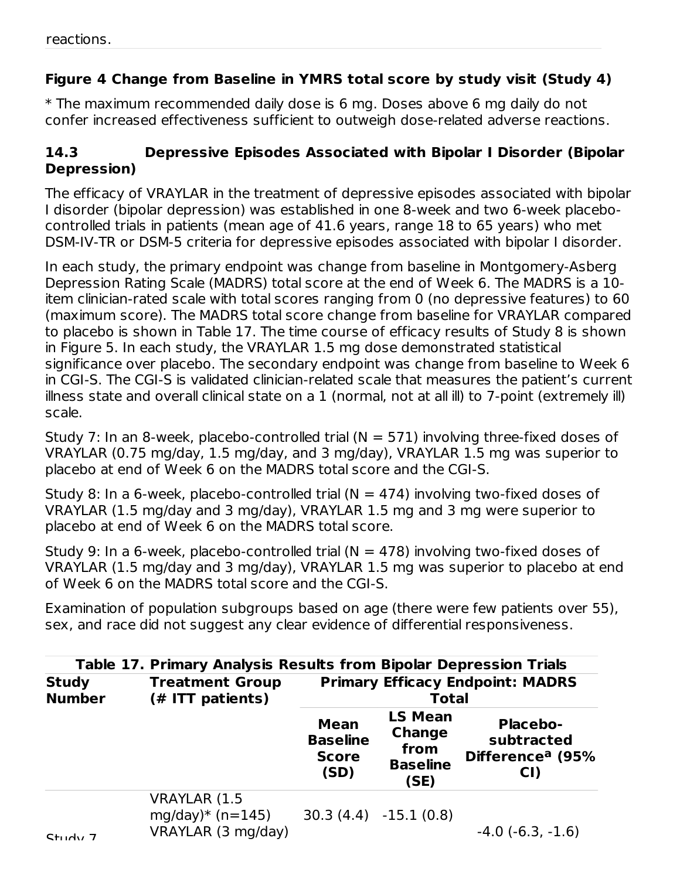### **Figure 4 Change from Baseline in YMRS total score by study visit (Study 4)**

\* The maximum recommended daily dose is 6 mg. Doses above 6 mg daily do not confer increased effectiveness sufficient to outweigh dose-related adverse reactions.

### **14.3 Depressive Episodes Associated with Bipolar I Disorder (Bipolar Depression)**

The efficacy of VRAYLAR in the treatment of depressive episodes associated with bipolar I disorder (bipolar depression) was established in one 8-week and two 6-week placebocontrolled trials in patients (mean age of 41.6 years, range 18 to 65 years) who met DSM-IV-TR or DSM-5 criteria for depressive episodes associated with bipolar I disorder.

In each study, the primary endpoint was change from baseline in Montgomery-Asberg Depression Rating Scale (MADRS) total score at the end of Week 6. The MADRS is a 10 item clinician-rated scale with total scores ranging from 0 (no depressive features) to 60 (maximum score). The MADRS total score change from baseline for VRAYLAR compared to placebo is shown in Table 17. The time course of efficacy results of Study 8 is shown in Figure 5. In each study, the VRAYLAR 1.5 mg dose demonstrated statistical significance over placebo. The secondary endpoint was change from baseline to Week 6 in CGI-S. The CGI-S is validated clinician-related scale that measures the patient's current illness state and overall clinical state on a 1 (normal, not at all ill) to 7-point (extremely ill) scale.

Study 7: In an 8-week, placebo-controlled trial  $(N = 571)$  involving three-fixed doses of VRAYLAR (0.75 mg/day, 1.5 mg/day, and 3 mg/day), VRAYLAR 1.5 mg was superior to placebo at end of Week 6 on the MADRS total score and the CGI-S.

Study 8: In a 6-week, placebo-controlled trial  $(N = 474)$  involving two-fixed doses of VRAYLAR (1.5 mg/day and 3 mg/day), VRAYLAR 1.5 mg and 3 mg were superior to placebo at end of Week 6 on the MADRS total score.

Study 9: In a 6-week, placebo-controlled trial  $(N = 478)$  involving two-fixed doses of VRAYLAR (1.5 mg/day and 3 mg/day), VRAYLAR 1.5 mg was superior to placebo at end of Week 6 on the MADRS total score and the CGI-S.

Examination of population subgroups based on age (there were few patients over 55), sex, and race did not suggest any clear evidence of differential responsiveness.

|                               | <b>Table 17. Primary Analysis Results from Bipolar Depression Trials</b> |                                                        |                                                                    |                                                                      |  |  |  |
|-------------------------------|--------------------------------------------------------------------------|--------------------------------------------------------|--------------------------------------------------------------------|----------------------------------------------------------------------|--|--|--|
| <b>Study</b><br><b>Number</b> | <b>Treatment Group</b><br>(# ITT patients)                               |                                                        | <b>Total</b>                                                       | <b>Primary Efficacy Endpoint: MADRS</b>                              |  |  |  |
|                               |                                                                          | <b>Mean</b><br><b>Baseline</b><br><b>Score</b><br>(SD) | <b>LS Mean</b><br><b>Change</b><br>from<br><b>Baseline</b><br>(SE) | <b>Placebo-</b><br>subtracted<br>Difference <sup>a</sup> (95%<br>CI) |  |  |  |
| $C+1$ $d_1$ , $7$             | <b>VRAYLAR (1.5</b><br>mg/day)* $(n=145)$<br>VRAYLAR (3 mg/day)          |                                                        | $30.3(4.4) -15.1(0.8)$                                             | $-4.0$ ( $-6.3$ , $-1.6$ )                                           |  |  |  |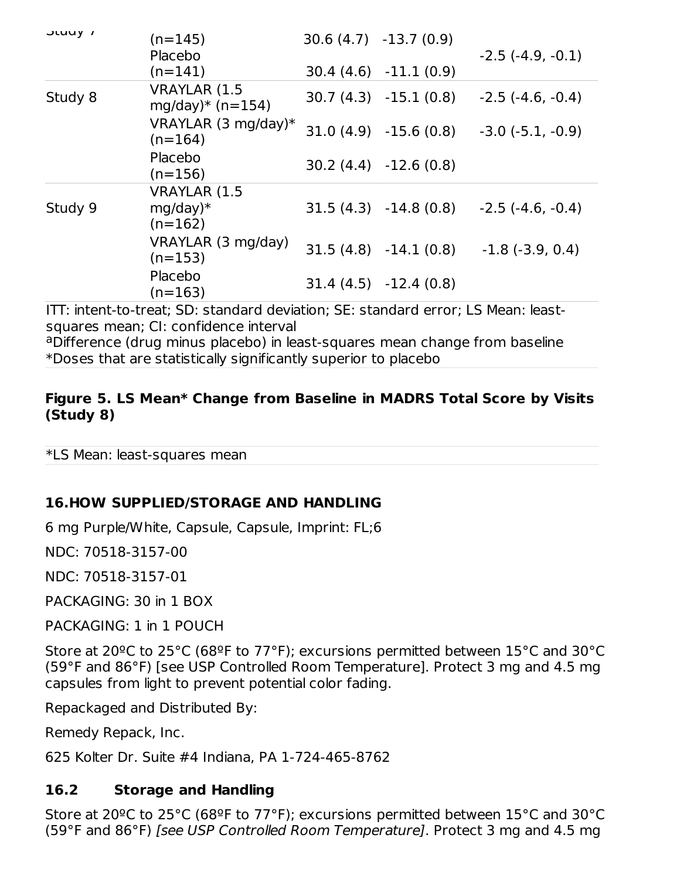| JLUUY 1 | $(n=145)$<br>Placebo                           | $30.6(4.7) -13.7(0.9)$ | $-2.5(-4.9,-0.1)$          |
|---------|------------------------------------------------|------------------------|----------------------------|
|         | $(n=141)$                                      | $30.4(4.6) -11.1(0.9)$ |                            |
| Study 8 | VRAYLAR (1.5<br>mg/day)* $(n=154)$             | $30.7(4.3) -15.1(0.8)$ | $-2.5$ (-4.6, -0.4)        |
|         | VRAYLAR $(3 \text{ mg/day})^*$<br>$(n=164)$    | $31.0(4.9) -15.6(0.8)$ | $-3.0$ ( $-5.1$ , $-0.9$ ) |
|         | Placebo<br>$(n=156)$                           | $30.2(4.4) -12.6(0.8)$ |                            |
| Study 9 | <b>VRAYLAR (1.5</b><br>$mg/day)*$<br>$(n=162)$ | $31.5(4.3) -14.8(0.8)$ | $-2.5$ (-4.6, -0.4)        |
|         | VRAYLAR (3 mg/day)<br>$(n=153)$                | $31.5(4.8) -14.1(0.8)$ | $-1.8$ ( $-3.9, 0.4$ )     |
|         | Placebo<br>$(n=163)$                           | $31.4(4.5) -12.4(0.8)$ |                            |

ITT: intent-to-treat; SD: standard deviation; SE: standard error; LS Mean: leastsquares mean; CI: confidence interval

aDifference (drug minus placebo) in least-squares mean change from baseline \*Doses that are statistically significantly superior to placebo

#### **Figure 5. LS Mean\* Change from Baseline in MADRS Total Score by Visits (Study 8)**

\*LS Mean: least-squares mean

#### **16.HOW SUPPLIED/STORAGE AND HANDLING**

6 mg Purple/White, Capsule, Capsule, Imprint: FL;6

NDC: 70518-3157-00

NDC: 70518-3157-01

PACKAGING: 30 in 1 BOX

PACKAGING: 1 in 1 POUCH

Store at 20ºC to 25°C (68ºF to 77°F); excursions permitted between 15°C and 30°C (59°F and 86°F) [see USP Controlled Room Temperature]. Protect 3 mg and 4.5 mg capsules from light to prevent potential color fading.

Repackaged and Distributed By:

Remedy Repack, Inc.

625 Kolter Dr. Suite #4 Indiana, PA 1-724-465-8762

#### **16.2 Storage and Handling**

Store at 20ºC to 25°C (68ºF to 77°F); excursions permitted between 15°C and 30°C (59°F and 86°F) [see USP Controlled Room Temperature]. Protect 3 mg and 4.5 mg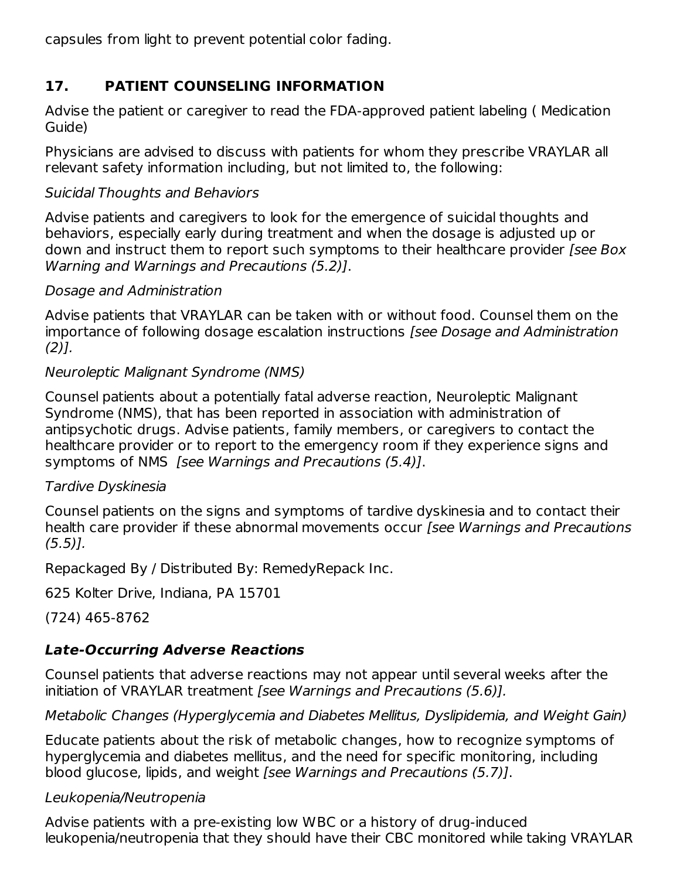capsules from light to prevent potential color fading.

### **17. PATIENT COUNSELING INFORMATION**

Advise the patient or caregiver to read the FDA-approved patient labeling ( Medication Guide)

Physicians are advised to discuss with patients for whom they prescribe VRAYLAR all relevant safety information including, but not limited to, the following:

### Suicidal Thoughts and Behaviors

Advise patients and caregivers to look for the emergence of suicidal thoughts and behaviors, especially early during treatment and when the dosage is adjusted up or down and instruct them to report such symptoms to their healthcare provider [see Box Warning and Warnings and Precautions (5.2)].

#### Dosage and Administration

Advise patients that VRAYLAR can be taken with or without food. Counsel them on the importance of following dosage escalation instructions [see Dosage and Administration  $(2)$ ].

#### Neuroleptic Malignant Syndrome (NMS)

Counsel patients about a potentially fatal adverse reaction, Neuroleptic Malignant Syndrome (NMS), that has been reported in association with administration of antipsychotic drugs. Advise patients, family members, or caregivers to contact the healthcare provider or to report to the emergency room if they experience signs and symptoms of NMS [see Warnings and Precautions (5.4)].

#### Tardive Dyskinesia

Counsel patients on the signs and symptoms of tardive dyskinesia and to contact their health care provider if these abnormal movements occur [see Warnings and Precautions  $(5.5)$ ].

Repackaged By / Distributed By: RemedyRepack Inc.

625 Kolter Drive, Indiana, PA 15701

(724) 465-8762

### **Late-Occurring Adverse Reactions**

Counsel patients that adverse reactions may not appear until several weeks after the initiation of VRAYLAR treatment [see Warnings and Precautions (5.6)].

Metabolic Changes (Hyperglycemia and Diabetes Mellitus, Dyslipidemia, and Weight Gain)

Educate patients about the risk of metabolic changes, how to recognize symptoms of hyperglycemia and diabetes mellitus, and the need for specific monitoring, including blood glucose, lipids, and weight [see Warnings and Precautions (5.7)].

### Leukopenia/Neutropenia

Advise patients with a pre-existing low WBC or a history of drug-induced leukopenia/neutropenia that they should have their CBC monitored while taking VRAYLAR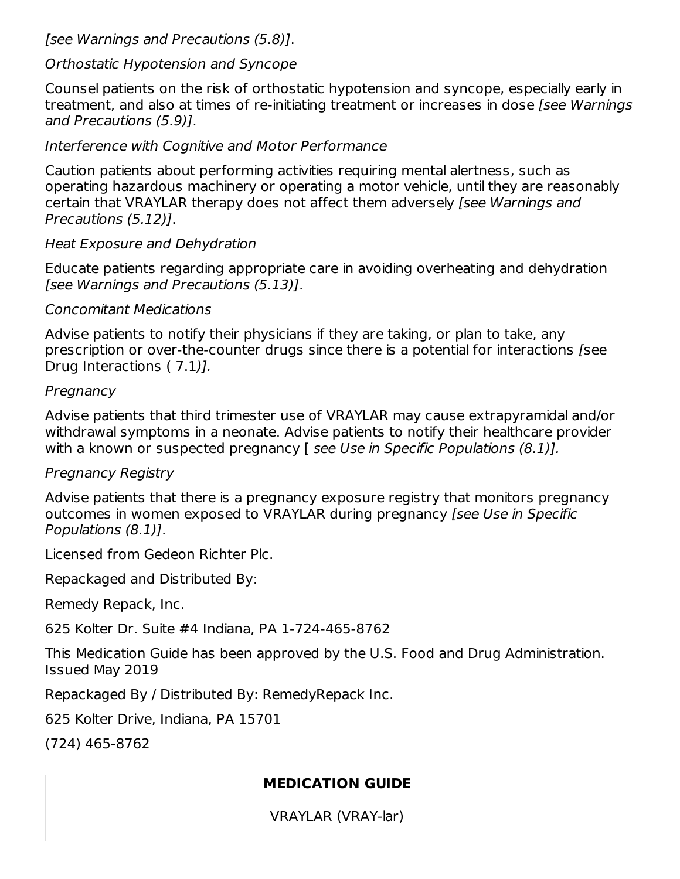[see Warnings and Precautions (5.8)].

#### Orthostatic Hypotension and Syncope

Counsel patients on the risk of orthostatic hypotension and syncope, especially early in treatment, and also at times of re-initiating treatment or increases in dose *[see Warnings* and Precautions (5.9)].

#### Interference with Cognitive and Motor Performance

Caution patients about performing activities requiring mental alertness, such as operating hazardous machinery or operating a motor vehicle, until they are reasonably certain that VRAYLAR therapy does not affect them adversely [see Warnings and Precautions (5.12)].

#### Heat Exposure and Dehydration

Educate patients regarding appropriate care in avoiding overheating and dehydration [see Warnings and Precautions (5.13)].

#### Concomitant Medications

Advise patients to notify their physicians if they are taking, or plan to take, any prescription or over-the-counter drugs since there is a potential for interactions [see Drug Interactions ( 7.1)].

#### Pregnancy

Advise patients that third trimester use of VRAYLAR may cause extrapyramidal and/or withdrawal symptoms in a neonate. Advise patients to notify their healthcare provider with a known or suspected pregnancy [ see Use in Specific Populations (8.1)].

### Pregnancy Registry

Advise patients that there is a pregnancy exposure registry that monitors pregnancy outcomes in women exposed to VRAYLAR during pregnancy [see Use in Specific Populations (8.1)].

Licensed from Gedeon Richter Plc.

Repackaged and Distributed By:

Remedy Repack, Inc.

625 Kolter Dr. Suite #4 Indiana, PA 1-724-465-8762

This Medication Guide has been approved by the U.S. Food and Drug Administration. Issued May 2019

Repackaged By / Distributed By: RemedyRepack Inc.

625 Kolter Drive, Indiana, PA 15701

(724) 465-8762

### **MEDICATION GUIDE**

VRAYLAR (VRAY-lar)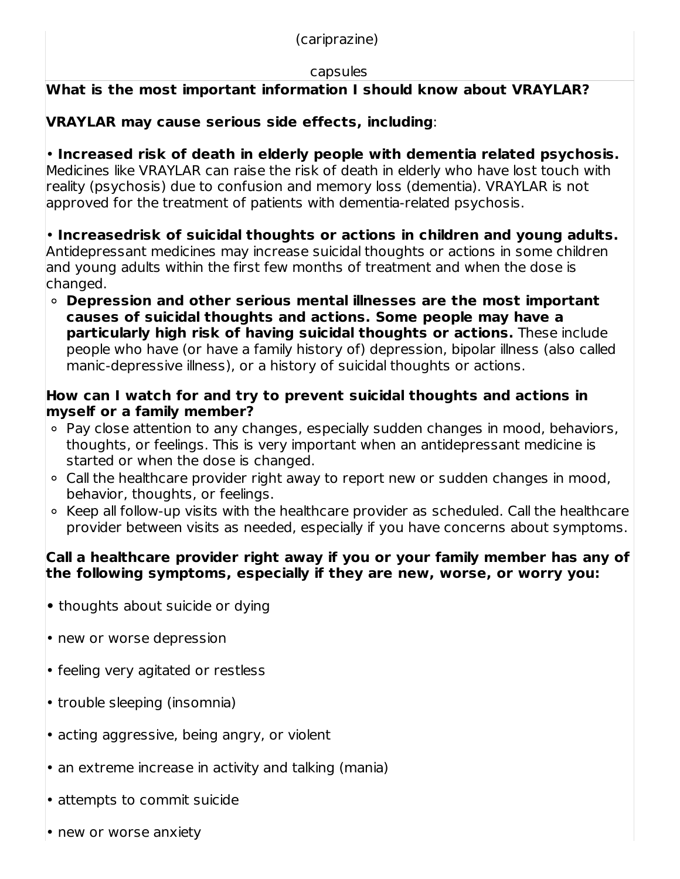(cariprazine)

#### capsules

# **What is the most important information I should know about VRAYLAR?**

# **VRAYLAR may cause serious side effects, including**:

• **Increased risk of death in elderly people with dementia related psychosis.** Medicines like VRAYLAR can raise the risk of death in elderly who have lost touch with reality (psychosis) due to confusion and memory loss (dementia). VRAYLAR is not approved for the treatment of patients with dementia-related psychosis.

• **Increasedrisk of suicidal thoughts or actions in children and young adults.** Antidepressant medicines may increase suicidal thoughts or actions in some children and young adults within the first few months of treatment and when the dose is changed.

**Depression and other serious mental illnesses are the most important causes of suicidal thoughts and actions. Some people may have a particularly high risk of having suicidal thoughts or actions.** These include people who have (or have a family history of) depression, bipolar illness (also called manic-depressive illness), or a history of suicidal thoughts or actions.

## **How can I watch for and try to prevent suicidal thoughts and actions in myself or a family member?**

- Pay close attention to any changes, especially sudden changes in mood, behaviors, thoughts, or feelings. This is very important when an antidepressant medicine is started or when the dose is changed.
- Call the healthcare provider right away to report new or sudden changes in mood, behavior, thoughts, or feelings.
- Keep all follow-up visits with the healthcare provider as scheduled. Call the healthcare provider between visits as needed, especially if you have concerns about symptoms.

## **Call a healthcare provider right away if you or your family member has any of the following symptoms, especially if they are new, worse, or worry you:**

- **•** thoughts about suicide or dying
- new or worse depression
- feeling very agitated or restless
- trouble sleeping (insomnia)
- acting aggressive, being angry, or violent
- an extreme increase in activity and talking (mania)
- attempts to commit suicide
- new or worse anxiety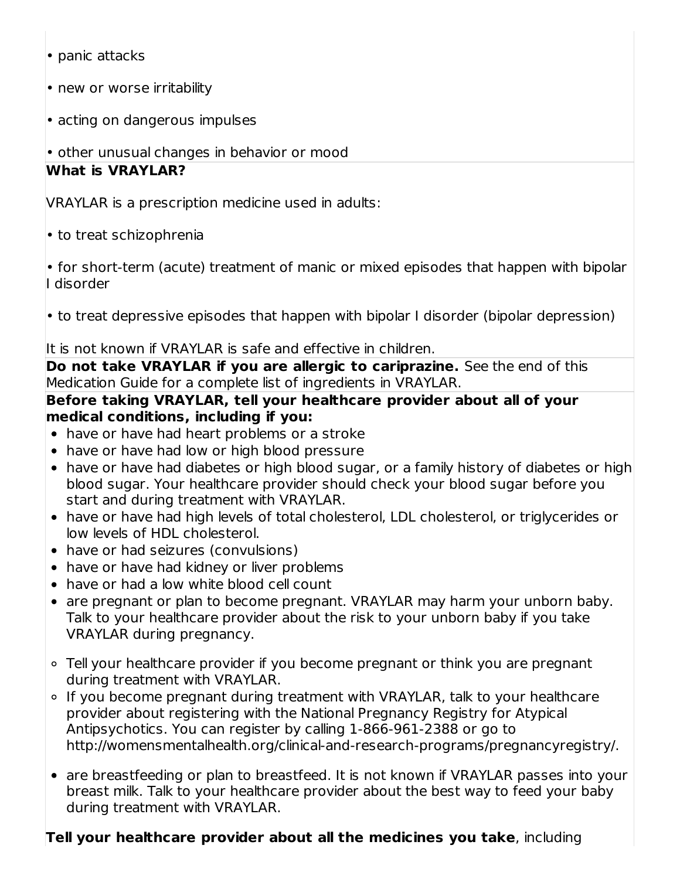- panic attacks
- new or worse irritability
- acting on dangerous impulses
- other unusual changes in behavior or mood

### **What is VRAYLAR?**

VRAYLAR is a prescription medicine used in adults:

• to treat schizophrenia

• for short-term (acute) treatment of manic or mixed episodes that happen with bipolar I disorder

• to treat depressive episodes that happen with bipolar I disorder (bipolar depression)

It is not known if VRAYLAR is safe and effective in children.

**Do not take VRAYLAR if you are allergic to cariprazine.** See the end of this Medication Guide for a complete list of ingredients in VRAYLAR.

#### **Before taking VRAYLAR, tell your healthcare provider about all of your medical conditions, including if you:**

- have or have had heart problems or a stroke
- have or have had low or high blood pressure
- have or have had diabetes or high blood sugar, or a family history of diabetes or high blood sugar. Your healthcare provider should check your blood sugar before you start and during treatment with VRAYLAR.
- have or have had high levels of total cholesterol, LDL cholesterol, or triglycerides or low levels of HDL cholesterol.
- have or had seizures (convulsions)
- have or have had kidney or liver problems
- have or had a low white blood cell count
- are pregnant or plan to become pregnant. VRAYLAR may harm your unborn baby. Talk to your healthcare provider about the risk to your unborn baby if you take VRAYLAR during pregnancy.
- Tell your healthcare provider if you become pregnant or think you are pregnant during treatment with VRAYLAR.
- If you become pregnant during treatment with VRAYLAR, talk to your healthcare provider about registering with the National Pregnancy Registry for Atypical Antipsychotics. You can register by calling 1-866-961-2388 or go to http://womensmentalhealth.org/clinical-and-research-programs/pregnancyregistry/.
- are breastfeeding or plan to breastfeed. It is not known if VRAYLAR passes into your breast milk. Talk to your healthcare provider about the best way to feed your baby during treatment with VRAYLAR.

## **Tell your healthcare provider about all the medicines you take**, including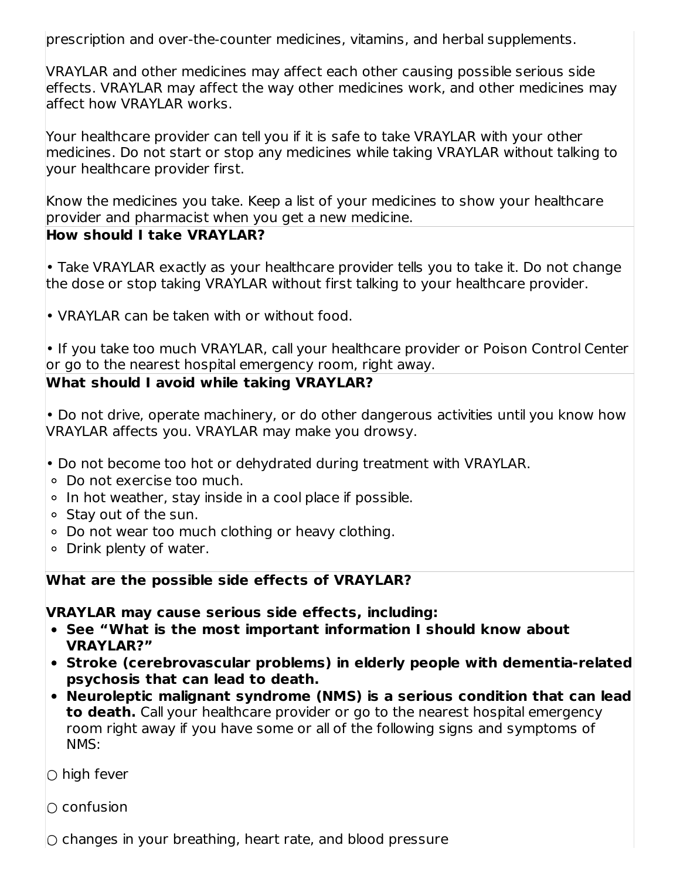prescription and over-the-counter medicines, vitamins, and herbal supplements.

VRAYLAR and other medicines may affect each other causing possible serious side effects. VRAYLAR may affect the way other medicines work, and other medicines may affect how VRAYLAR works.

Your healthcare provider can tell you if it is safe to take VRAYLAR with your other medicines. Do not start or stop any medicines while taking VRAYLAR without talking to your healthcare provider first.

Know the medicines you take. Keep a list of your medicines to show your healthcare provider and pharmacist when you get a new medicine.

### **How should I take VRAYLAR?**

• Take VRAYLAR exactly as your healthcare provider tells you to take it. Do not change the dose or stop taking VRAYLAR without first talking to your healthcare provider.

• VRAYLAR can be taken with or without food.

• If you take too much VRAYLAR, call your healthcare provider or Poison Control Center or go to the nearest hospital emergency room, right away.

### **What should I avoid while taking VRAYLAR?**

• Do not drive, operate machinery, or do other dangerous activities until you know how VRAYLAR affects you. VRAYLAR may make you drowsy.

- Do not become too hot or dehydrated during treatment with VRAYLAR.
- Do not exercise too much.
- $\circ$  In hot weather, stay inside in a cool place if possible.
- Stay out of the sun.
- Do not wear too much clothing or heavy clothing.
- Drink plenty of water.

### **What are the possible side effects of VRAYLAR?**

**VRAYLAR may cause serious side effects, including:**

- **See "What is the most important information I should know about VRAYLAR?"**
- **Stroke (cerebrovascular problems) in elderly people with dementia-related psychosis that can lead to death.**
- **Neuroleptic malignant syndrome (NMS) is a serious condition that can lead to death.** Call your healthcare provider or go to the nearest hospital emergency room right away if you have some or all of the following signs and symptoms of NMS:

 $\bigcirc$  high fever

 $\cap$  confusion

 $\circ$  changes in your breathing, heart rate, and blood pressure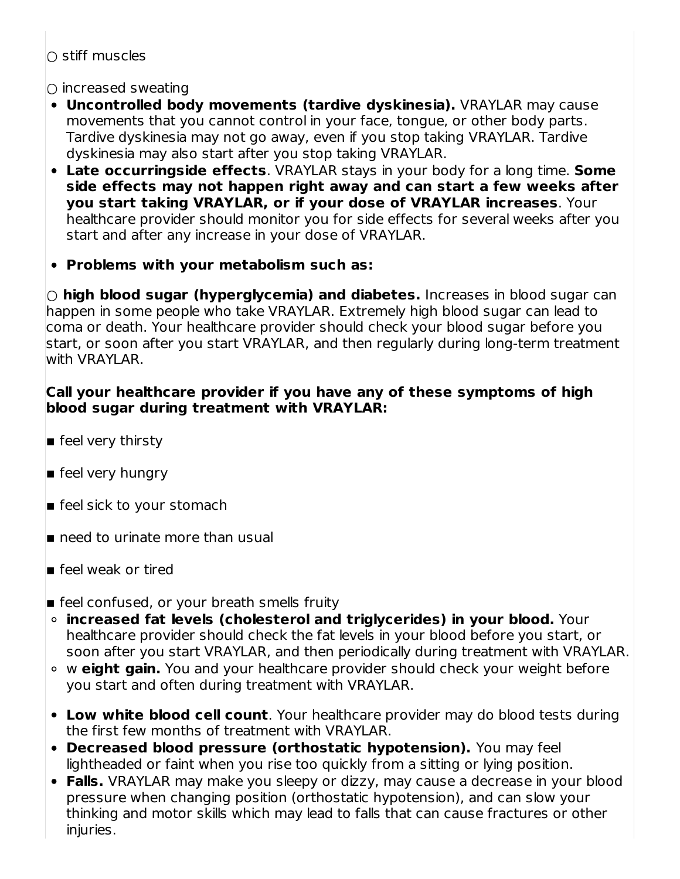○ stiff muscles

 $\bigcirc$  increased sweating

- **Uncontrolled body movements (tardive dyskinesia).** VRAYLAR may cause movements that you cannot control in your face, tongue, or other body parts. Tardive dyskinesia may not go away, even if you stop taking VRAYLAR. Tardive dyskinesia may also start after you stop taking VRAYLAR.
- **Late occurringside effects**. VRAYLAR stays in your body for a long time. **Some side effects may not happen right away and can start a few weeks after you start taking VRAYLAR, or if your dose of VRAYLAR increases**. Your healthcare provider should monitor you for side effects for several weeks after you start and after any increase in your dose of VRAYLAR.
- **Problems with your metabolism such as:**

**○ high blood sugar (hyperglycemia) and diabetes.** Increases in blood sugar can happen in some people who take VRAYLAR. Extremely high blood sugar can lead to coma or death. Your healthcare provider should check your blood sugar before you start, or soon after you start VRAYLAR, and then regularly during long-term treatment with VRAYLAR.

#### **Call your healthcare provider if you have any of these symptoms of high blood sugar during treatment with VRAYLAR:**

- $\blacksquare$  feel very thirsty
- **E** feel very hungry
- $\blacksquare$  feel sick to your stomach
- $\blacksquare$  need to urinate more than usual
- $\blacksquare$  feel weak or tired
- **E** feel confused, or your breath smells fruity
- **increased fat levels (cholesterol and triglycerides) in your blood.** Your healthcare provider should check the fat levels in your blood before you start, or soon after you start VRAYLAR, and then periodically during treatment with VRAYLAR.
- w **eight gain.** You and your healthcare provider should check your weight before you start and often during treatment with VRAYLAR.
- **Low white blood cell count**. Your healthcare provider may do blood tests during the first few months of treatment with VRAYLAR.
- **Decreased blood pressure (orthostatic hypotension).** You may feel lightheaded or faint when you rise too quickly from a sitting or lying position.
- **Falls.** VRAYLAR may make you sleepy or dizzy, may cause a decrease in your blood pressure when changing position (orthostatic hypotension), and can slow your thinking and motor skills which may lead to falls that can cause fractures or other injuries.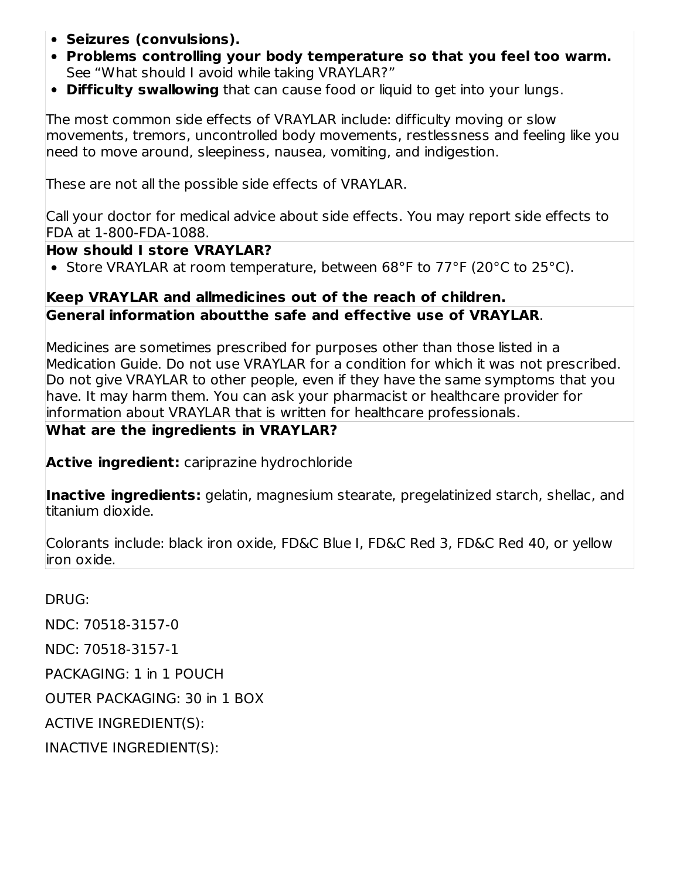- **Seizures (convulsions).**
- **Problems controlling your body temperature so that you feel too warm.** See "What should I avoid while taking VRAYLAR?"
- **Difficulty swallowing** that can cause food or liquid to get into your lungs.

The most common side effects of VRAYLAR include: difficulty moving or slow movements, tremors, uncontrolled body movements, restlessness and feeling like you need to move around, sleepiness, nausea, vomiting, and indigestion.

These are not all the possible side effects of VRAYLAR.

Call your doctor for medical advice about side effects. You may report side effects to FDA at 1-800-FDA-1088.

#### **How should I store VRAYLAR?**

• Store VRAYLAR at room temperature, between 68°F to 77°F (20°C to 25°C).

### **Keep VRAYLAR and allmedicines out of the reach of children. General information aboutthe safe and effective use of VRAYLAR**.

Medicines are sometimes prescribed for purposes other than those listed in a Medication Guide. Do not use VRAYLAR for a condition for which it was not prescribed. Do not give VRAYLAR to other people, even if they have the same symptoms that you have. It may harm them. You can ask your pharmacist or healthcare provider for information about VRAYLAR that is written for healthcare professionals.

#### **What are the ingredients in VRAYLAR?**

**Active ingredient:** cariprazine hydrochloride

**Inactive ingredients:** gelatin, magnesium stearate, pregelatinized starch, shellac, and titanium dioxide.

Colorants include: black iron oxide, FD&C Blue I, FD&C Red 3, FD&C Red 40, or yellow iron oxide.

DRUG:

NDC: 70518-3157-0

NDC: 70518-3157-1

PACKAGING: 1 in 1 POUCH

OUTER PACKAGING: 30 in 1 BOX

ACTIVE INGREDIENT(S):

INACTIVE INGREDIENT(S):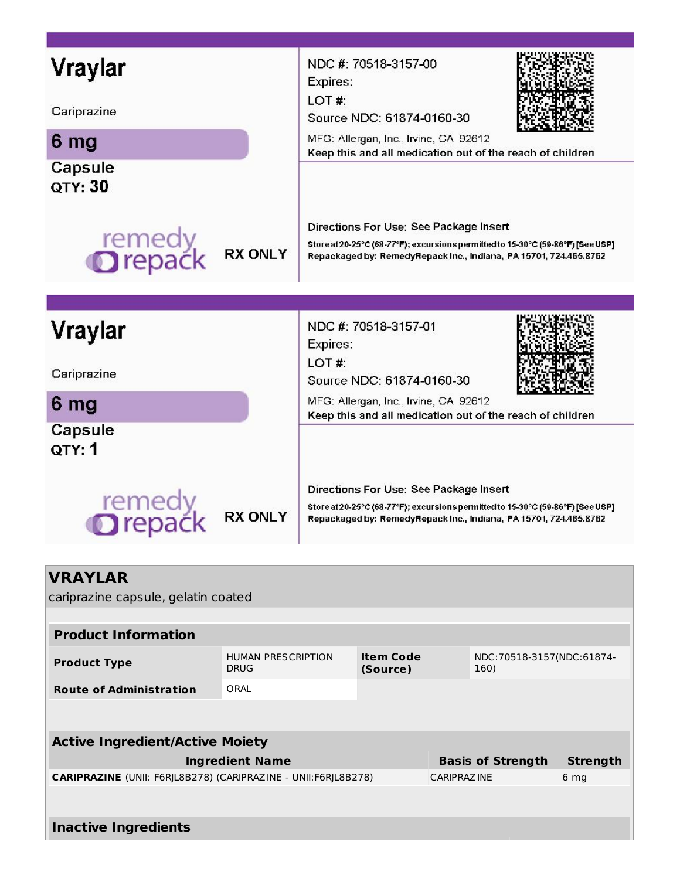| Vraylar                                               | NDC #: 70518-3157-00<br>Expires:                                                                                                                                                               |  |  |  |  |
|-------------------------------------------------------|------------------------------------------------------------------------------------------------------------------------------------------------------------------------------------------------|--|--|--|--|
| Cariprazine                                           | LOT#:<br>Source NDC: 61874-0160-30                                                                                                                                                             |  |  |  |  |
| 6 mg                                                  | MFG: Allergan, Inc., Irvine, CA 92612<br>Keep this and all medication out of the reach of children                                                                                             |  |  |  |  |
| Capsule<br>QTY: 30                                    |                                                                                                                                                                                                |  |  |  |  |
| remedy<br><b>O</b> repack<br><b>RX ONLY</b>           | Directions For Use: See Package Insert<br>Store at 20-25°C (68-77°F); excursions permitted to 15-30°C (59-86°F) [See USP]<br>Repackaged by: RemedyRepack Inc., Indiana, PA 15701, 724.465.8762 |  |  |  |  |
|                                                       |                                                                                                                                                                                                |  |  |  |  |
| Vraylar                                               | NDC #: 70518-3157-01<br>Expires:                                                                                                                                                               |  |  |  |  |
| Cariprazine                                           | LOT#:<br>Source NDC: 61874-0160-30                                                                                                                                                             |  |  |  |  |
| 6 mg                                                  | MFG: Allergan, Inc., Irvine, CA 92612<br>Keep this and all medication out of the reach of children                                                                                             |  |  |  |  |
| Capsule<br>QTY: 1                                     |                                                                                                                                                                                                |  |  |  |  |
| remedy<br><b>Drepack</b><br><b>RX ONLY</b>            | Directions For Use: See Package Insert<br>Store at 20-25°C (68-77°F); excursions permitted to 15-30°C (59-86°F) [See USP]<br>Repackaged by: RemedyRepack Inc., Indiana, PA 15701, 724.465.8762 |  |  |  |  |
|                                                       |                                                                                                                                                                                                |  |  |  |  |
| <b>VRAYLAR</b><br>cariprazine capsule, gelatin coated |                                                                                                                                                                                                |  |  |  |  |
| <b>Product Information</b>                            |                                                                                                                                                                                                |  |  |  |  |

| <b>Product Type</b>                                                   | <b>HUMAN PRESCRIPTION</b><br><b>DRUG</b> | <b>Item Code</b><br>(Source) |                    | NDC: 70518-3157(NDC: 61874-<br>160) |                 |  |  |
|-----------------------------------------------------------------------|------------------------------------------|------------------------------|--------------------|-------------------------------------|-----------------|--|--|
| <b>Route of Administration</b>                                        | ORAL                                     |                              |                    |                                     |                 |  |  |
|                                                                       |                                          |                              |                    |                                     |                 |  |  |
| <b>Active Ingredient/Active Moiety</b>                                |                                          |                              |                    |                                     |                 |  |  |
|                                                                       | <b>Ingredient Name</b>                   |                              |                    | <b>Basis of Strength</b>            | <b>Strength</b> |  |  |
| <b>CARIPRAZINE</b> (UNII: F6RIL8B278) (CARIPRAZINE - UNII:F6RIL8B278) |                                          |                              | <b>CARIPRAZINE</b> |                                     | 6 <sub>mg</sub> |  |  |
|                                                                       |                                          |                              |                    |                                     |                 |  |  |
| Inactive Ingredients                                                  |                                          |                              |                    |                                     |                 |  |  |